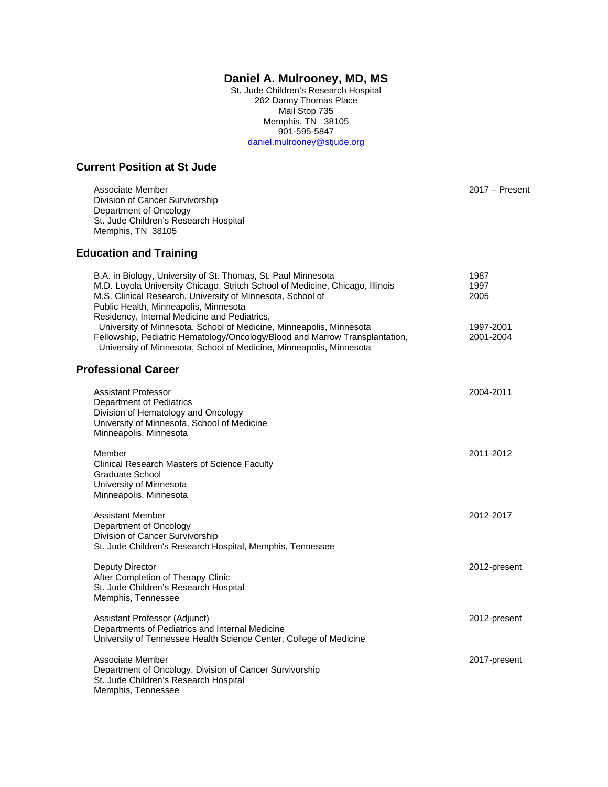# **Daniel A. Mulrooney, MD, MS**

St. Jude Children's Research Hospital 262 Danny Thomas Place Mail Stop 735 Memphis, TN 38105 901-595-5847 [daniel.mulrooney@stjude.org](mailto:daniel.mulrooney@stjude.org)

## **Current Position at St Jude**

Associate Member 2017 – Present Division of Cancer Survivorship Department of Oncology St. Jude Children's Research Hospital Memphis, TN 38105

# **Education and Training**

| B.A. in Biology, University of St. Thomas, St. Paul Minnesota<br>M.D. Loyola University Chicago, Stritch School of Medicine, Chicago, Illinois<br>M.S. Clinical Research, University of Minnesota, School of<br>Public Health, Minneapolis, Minnesota<br>Residency, Internal Medicine and Pediatrics, | 1987<br>1997<br>2005   |
|-------------------------------------------------------------------------------------------------------------------------------------------------------------------------------------------------------------------------------------------------------------------------------------------------------|------------------------|
| University of Minnesota, School of Medicine, Minneapolis, Minnesota<br>Fellowship, Pediatric Hematology/Oncology/Blood and Marrow Transplantation,<br>University of Minnesota, School of Medicine, Minneapolis, Minnesota                                                                             | 1997-2001<br>2001-2004 |
| <b>Professional Career</b>                                                                                                                                                                                                                                                                            |                        |
| <b>Assistant Professor</b><br>Department of Pediatrics<br>Division of Hematology and Oncology<br>University of Minnesota, School of Medicine<br>Minneapolis, Minnesota                                                                                                                                | 2004-2011              |
| Member<br><b>Clinical Research Masters of Science Faculty</b><br>Graduate School<br>University of Minnesota<br>Minneapolis, Minnesota                                                                                                                                                                 | 2011-2012              |
| <b>Assistant Member</b><br>Department of Oncology<br>Division of Cancer Survivorship<br>St. Jude Children's Research Hospital, Memphis, Tennessee                                                                                                                                                     | 2012-2017              |
| Deputy Director<br>After Completion of Therapy Clinic<br>St. Jude Children's Research Hospital<br>Memphis, Tennessee                                                                                                                                                                                  | 2012-present           |
| Assistant Professor (Adjunct)<br>Departments of Pediatrics and Internal Medicine<br>University of Tennessee Health Science Center, College of Medicine                                                                                                                                                | 2012-present           |
| Associate Member<br>Department of Oncology, Division of Cancer Survivorship<br>St. Jude Children's Research Hospital<br>Memphis, Tennessee                                                                                                                                                            | 2017-present           |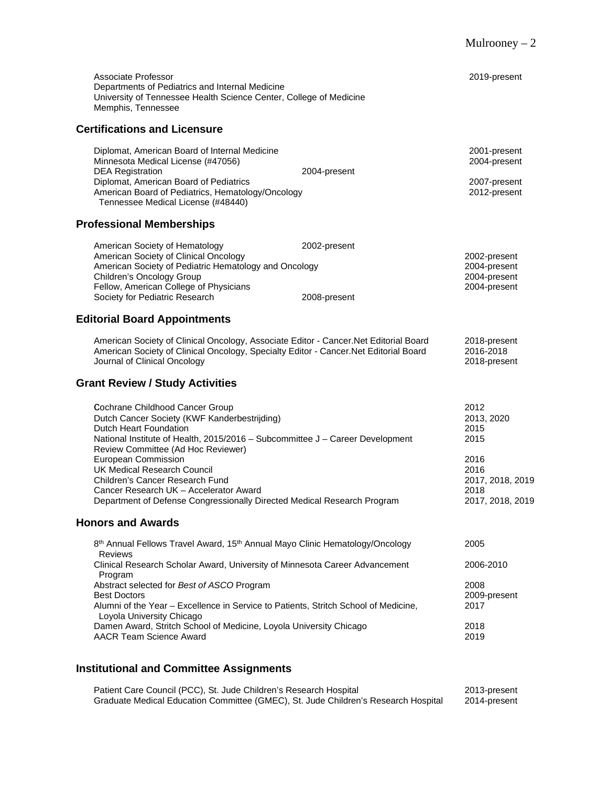| Associate Professor                                                                                                                                                                                                                              |              | 2019-present                                                 |
|--------------------------------------------------------------------------------------------------------------------------------------------------------------------------------------------------------------------------------------------------|--------------|--------------------------------------------------------------|
| Departments of Pediatrics and Internal Medicine<br>University of Tennessee Health Science Center, College of Medicine<br>Memphis, Tennessee                                                                                                      |              |                                                              |
| <b>Certifications and Licensure</b>                                                                                                                                                                                                              |              |                                                              |
| Diplomat, American Board of Internal Medicine<br>Minnesota Medical License (#47056)<br><b>DEA Registration</b><br>Diplomat, American Board of Pediatrics                                                                                         | 2004-present | 2001-present<br>2004-present<br>2007-present                 |
| American Board of Pediatrics, Hematology/Oncology<br>Tennessee Medical License (#48440)                                                                                                                                                          |              | 2012-present                                                 |
| <b>Professional Memberships</b>                                                                                                                                                                                                                  |              |                                                              |
| American Society of Hematology<br>American Society of Clinical Oncology                                                                                                                                                                          | 2002-present | 2002-present                                                 |
| American Society of Pediatric Hematology and Oncology<br>Children's Oncology Group                                                                                                                                                               |              | 2004-present<br>2004-present                                 |
| Fellow, American College of Physicians<br>Society for Pediatric Research                                                                                                                                                                         | 2008-present | 2004-present                                                 |
| <b>Editorial Board Appointments</b>                                                                                                                                                                                                              |              |                                                              |
| American Society of Clinical Oncology, Associate Editor - Cancer. Net Editorial Board<br>American Society of Clinical Oncology, Specialty Editor - Cancer. Net Editorial Board<br>Journal of Clinical Oncology                                   |              | 2018-present<br>2016-2018<br>2018-present                    |
| <b>Grant Review / Study Activities</b>                                                                                                                                                                                                           |              |                                                              |
| Cochrane Childhood Cancer Group<br>Dutch Cancer Society (KWF Kanderbestrijding)<br>Dutch Heart Foundation<br>National Institute of Health, 2015/2016 - Subcommittee J - Career Development                                                       |              | 2012<br>2013, 2020<br>2015<br>2015                           |
| Review Committee (Ad Hoc Reviewer)<br>European Commission<br>UK Medical Research Council<br>Children's Cancer Research Fund<br>Cancer Research UK - Accelerator Award<br>Department of Defense Congressionally Directed Medical Research Program |              | 2016<br>2016<br>2017, 2018, 2019<br>2018<br>2017, 2018, 2019 |
| <b>Honors and Awards</b>                                                                                                                                                                                                                         |              |                                                              |
| 8th Annual Fellows Travel Award, 15th Annual Mayo Clinic Hematology/Oncology<br>Reviews                                                                                                                                                          |              | 2005                                                         |
| Clinical Research Scholar Award, University of Minnesota Career Advancement<br>Program                                                                                                                                                           |              | 2006-2010                                                    |
| Abstract selected for Best of ASCO Program<br><b>Best Doctors</b><br>Alumni of the Year - Excellence in Service to Patients, Stritch School of Medicine,                                                                                         |              | 2008<br>2009-present<br>2017                                 |
| Loyola University Chicago<br>Damen Award, Stritch School of Medicine, Loyola University Chicago<br><b>AACR Team Science Award</b>                                                                                                                |              | 2018<br>2019                                                 |

# **Institutional and Committee Assignments**

Patient Care Council (PCC), St. Jude Children's Research Hospital 2013-present Graduate Medical Education Committee (GMEC), St. Jude Children's Research Hospital 2014-present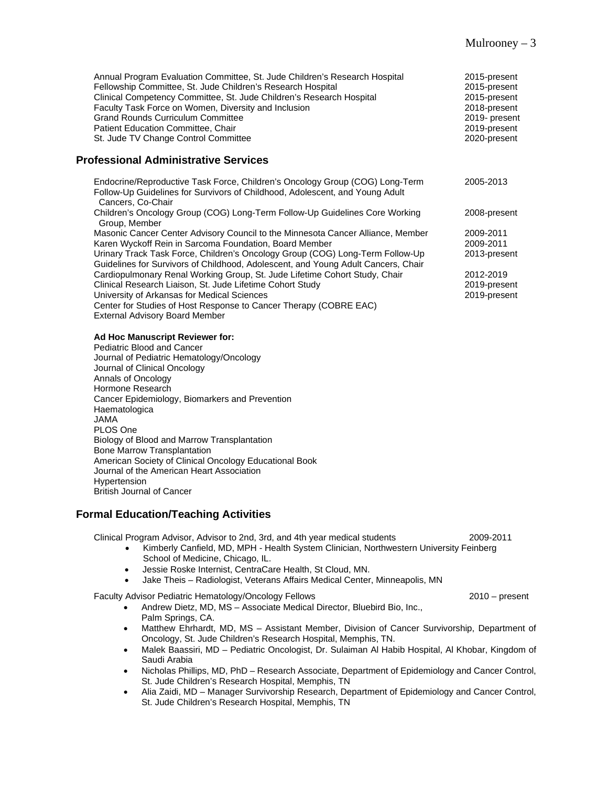| Annual Program Evaluation Committee, St. Jude Children's Research Hospital<br>Fellowship Committee, St. Jude Children's Research Hospital<br>Clinical Competency Committee, St. Jude Children's Research Hospital<br>Faculty Task Force on Women, Diversity and Inclusion<br><b>Grand Rounds Curriculum Committee</b><br>Patient Education Committee, Chair<br>St. Jude TV Change Control Committee | 2015-present<br>2015-present<br>2015-present<br>2018-present<br>2019- present<br>2019-present<br>2020-present |
|-----------------------------------------------------------------------------------------------------------------------------------------------------------------------------------------------------------------------------------------------------------------------------------------------------------------------------------------------------------------------------------------------------|---------------------------------------------------------------------------------------------------------------|
| <b>Professional Administrative Services</b>                                                                                                                                                                                                                                                                                                                                                         |                                                                                                               |
| Endocrine/Reproductive Task Force, Children's Oncology Group (COG) Long-Term<br>Follow-Up Guidelines for Survivors of Childhood, Adolescent, and Young Adult<br>Cancers, Co-Chair                                                                                                                                                                                                                   | 2005-2013                                                                                                     |
| Children's Oncology Group (COG) Long-Term Follow-Up Guidelines Core Working<br>Group, Member                                                                                                                                                                                                                                                                                                        | 2008-present                                                                                                  |
| Masonic Cancer Center Advisory Council to the Minnesota Cancer Alliance, Member                                                                                                                                                                                                                                                                                                                     | 2009-2011                                                                                                     |
| Karen Wyckoff Rein in Sarcoma Foundation, Board Member                                                                                                                                                                                                                                                                                                                                              | 2009-2011                                                                                                     |
| Urinary Track Task Force, Children's Oncology Group (COG) Long-Term Follow-Up<br>Guidelines for Survivors of Childhood, Adolescent, and Young Adult Cancers, Chair                                                                                                                                                                                                                                  | 2013-present                                                                                                  |
| Cardiopulmonary Renal Working Group, St. Jude Lifetime Cohort Study, Chair                                                                                                                                                                                                                                                                                                                          | 2012-2019                                                                                                     |
| Clinical Research Liaison, St. Jude Lifetime Cohort Study                                                                                                                                                                                                                                                                                                                                           | 2019-present                                                                                                  |
| University of Arkansas for Medical Sciences                                                                                                                                                                                                                                                                                                                                                         | 2019-present                                                                                                  |
| Center for Studies of Host Response to Cancer Therapy (COBRE EAC)<br><b>External Advisory Board Member</b>                                                                                                                                                                                                                                                                                          |                                                                                                               |
| Ad Hoc Manuscript Reviewer for:                                                                                                                                                                                                                                                                                                                                                                     |                                                                                                               |
| Pediatric Blood and Cancer                                                                                                                                                                                                                                                                                                                                                                          |                                                                                                               |
| Journal of Pediatric Hematology/Oncology                                                                                                                                                                                                                                                                                                                                                            |                                                                                                               |
| Journal of Clinical Oncology                                                                                                                                                                                                                                                                                                                                                                        |                                                                                                               |
| Annals of Oncology                                                                                                                                                                                                                                                                                                                                                                                  |                                                                                                               |
| Hormone Research                                                                                                                                                                                                                                                                                                                                                                                    |                                                                                                               |

Cancer Epidemiology, Biomarkers and Prevention

American Society of Clinical Oncology Educational Book

Biology of Blood and Marrow Transplantation

Journal of the American Heart Association

**Formal Education/Teaching Activities**

Bone Marrow Transplantation

British Journal of Cancer

Haematologica

Hypertension

JAMA PLOS One

Clinical Program Advisor, Advisor to 2nd, 3rd, and 4th year medical students 2009-2011

- Kimberly Canfield, MD, MPH Health System Clinician, Northwestern University Feinberg School of Medicine, Chicago, IL.
- Jessie Roske Internist, CentraCare Health, St Cloud, MN.
- Jake Theis Radiologist, Veterans Affairs Medical Center, Minneapolis, MN

Faculty Advisor Pediatric Hematology/Oncology Fellows 2010 – present

- Andrew Dietz, MD, MS Associate Medical Director, Bluebird Bio, Inc., Palm Springs, CA.
- Matthew Ehrhardt, MD, MS Assistant Member, Division of Cancer Survivorship, Department of Oncology, St. Jude Children's Research Hospital, Memphis, TN.
- Malek Baassiri, MD Pediatric Oncologist, Dr. Sulaiman Al Habib Hospital, Al Khobar, Kingdom of Saudi Arabia
- Nicholas Phillips, MD, PhD Research Associate, Department of Epidemiology and Cancer Control, St. Jude Children's Research Hospital, Memphis, TN
- Alia Zaidi, MD Manager Survivorship Research, Department of Epidemiology and Cancer Control, St. Jude Children's Research Hospital, Memphis, TN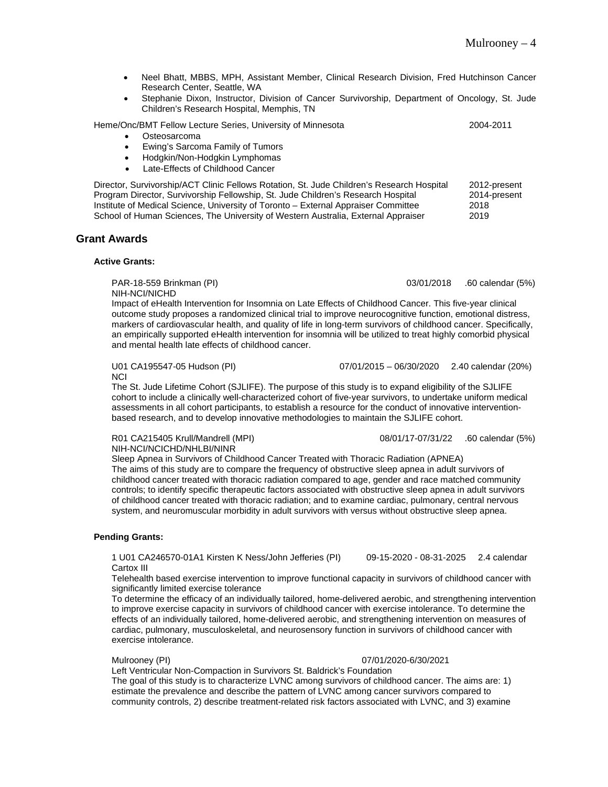- Neel Bhatt, MBBS, MPH, Assistant Member, Clinical Research Division, Fred Hutchinson Cancer Research Center, Seattle, WA
- Stephanie Dixon, Instructor, Division of Cancer Survivorship, Department of Oncology, St. Jude Children's Research Hospital, Memphis, TN

Heme/Onc/BMT Fellow Lecture Series, University of Minnesota 2004-2011

- **Osteosarcoma**
- Ewing's Sarcoma Family of Tumors
- Hodgkin/Non-Hodgkin Lymphomas
- Late-Effects of Childhood Cancer

Director, Survivorship/ACT Clinic Fellows Rotation, St. Jude Children's Research Hospital 2012-present Program Director, Survivorship Fellowship, St. Jude Children's Research Hospital Institute of Medical Science, University of Toronto – External Appraiser Committee 2018 School of Human Sciences, The University of Western Australia, External Appraiser 2019

### **Grant Awards**

#### **Active Grants:**

PAR-18-559 Brinkman (PI) 03/01/2018 .60 calendar (5%)

NIH-NCI/NICHD

Impact of eHealth Intervention for Insomnia on Late Effects of Childhood Cancer. This five-year clinical outcome study proposes a randomized clinical trial to improve neurocognitive function, emotional distress, markers of cardiovascular health, and quality of life in long-term survivors of childhood cancer. Specifically, an empirically supported eHealth intervention for insomnia will be utilized to treat highly comorbid physical and mental health late effects of childhood cancer.

U01 CA195547-05 Hudson (PI) 07/01/2015 – 06/30/2020 2.40 calendar (20%)

**NCI** 

The St. Jude Lifetime Cohort (SJLIFE). The purpose of this study is to expand eligibility of the SJLIFE cohort to include a clinically well-characterized cohort of five-year survivors, to undertake uniform medical assessments in all cohort participants, to establish a resource for the conduct of innovative interventionbased research, and to develop innovative methodologies to maintain the SJLIFE cohort.

R01 CA215405 Krull/Mandrell (MPI) 08/01/17-07/31/22 .60 calendar (5%) NIH-NCI/NCICHD/NHLBI/NINR

Sleep Apnea in Survivors of Childhood Cancer Treated with Thoracic Radiation (APNEA) The aims of this study are to compare the frequency of obstructive sleep apnea in adult survivors of childhood cancer treated with thoracic radiation compared to age, gender and race matched community controls; to identify specific therapeutic factors associated with obstructive sleep apnea in adult survivors of childhood cancer treated with thoracic radiation; and to examine cardiac, pulmonary, central nervous system, and neuromuscular morbidity in adult survivors with versus without obstructive sleep apnea.

#### **Pending Grants:**

1 U01 CA246570-01A1 Kirsten K Ness/John Jefferies (PI) 09-15-2020 - 08-31-2025 2.4 calendar Cartox III

Telehealth based exercise intervention to improve functional capacity in survivors of childhood cancer with significantly limited exercise tolerance

To determine the efficacy of an individually tailored, home-delivered aerobic, and strengthening intervention to improve exercise capacity in survivors of childhood cancer with exercise intolerance. To determine the effects of an individually tailored, home-delivered aerobic, and strengthening intervention on measures of cardiac, pulmonary, musculoskeletal, and neurosensory function in survivors of childhood cancer with exercise intolerance.

Mulrooney (PI) 07/01/2020-6/30/2021

Left Ventricular Non-Compaction in Survivors St. Baldrick's Foundation The goal of this study is to characterize LVNC among survivors of childhood cancer. The aims are: 1) estimate the prevalence and describe the pattern of LVNC among cancer survivors compared to community controls, 2) describe treatment-related risk factors associated with LVNC, and 3) examine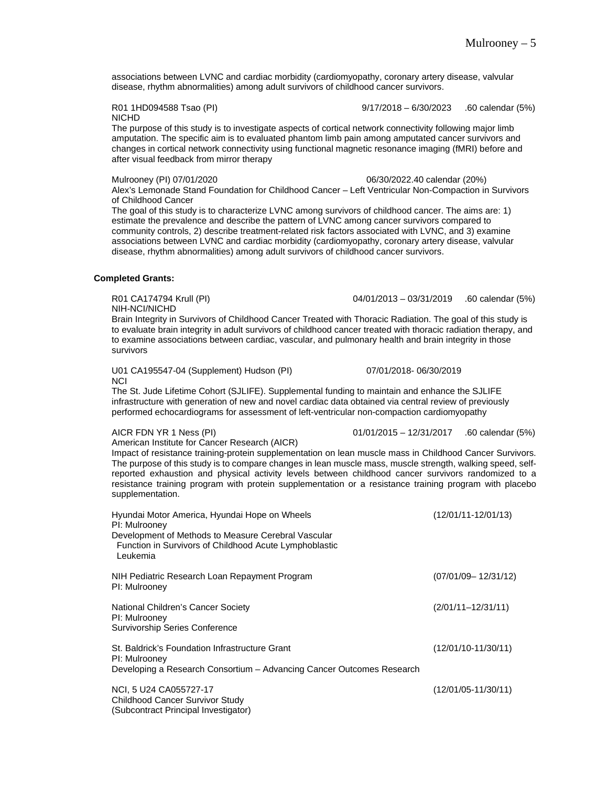associations between LVNC and cardiac morbidity (cardiomyopathy, coronary artery disease, valvular disease, rhythm abnormalities) among adult survivors of childhood cancer survivors.

NICHD

R01 1HD094588 Tsao (PI) 9/17/2018 – 6/30/2023 .60 calendar (5%)

The purpose of this study is to investigate aspects of cortical network connectivity following major limb amputation. The specific aim is to evaluated phantom limb pain among amputated cancer survivors and changes in cortical network connectivity using functional magnetic resonance imaging (fMRI) before and after visual feedback from mirror therapy

Mulrooney (PI) 07/01/2020 06/30/2022.40 calendar (20%)

Alex's Lemonade Stand Foundation for Childhood Cancer – Left Ventricular Non-Compaction in Survivors of Childhood Cancer

The goal of this study is to characterize LVNC among survivors of childhood cancer. The aims are: 1) estimate the prevalence and describe the pattern of LVNC among cancer survivors compared to community controls, 2) describe treatment-related risk factors associated with LVNC, and 3) examine associations between LVNC and cardiac morbidity (cardiomyopathy, coronary artery disease, valvular disease, rhythm abnormalities) among adult survivors of childhood cancer survivors.

#### **Completed Grants:**

NIH-NCI/NICHD

R01 CA174794 Krull (PI) 04/01/2013 – 03/31/2019 .60 calendar (5%)

Brain Integrity in Survivors of Childhood Cancer Treated with Thoracic Radiation. The goal of this study is to evaluate brain integrity in adult survivors of childhood cancer treated with thoracic radiation therapy, and to examine associations between cardiac, vascular, and pulmonary health and brain integrity in those survivors

U01 CA195547-04 (Supplement) Hudson (PI) 07/01/2018- 06/30/2019 **NCI** 

The St. Jude Lifetime Cohort (SJLIFE). Supplemental funding to maintain and enhance the SJLIFE

infrastructure with generation of new and novel cardiac data obtained via central review of previously performed echocardiograms for assessment of left-ventricular non-compaction cardiomyopathy

(Subcontract Principal Investigator)

AICR FDN YR 1 Ness (PI) 01/01/2015 – 12/31/2017 .60 calendar (5%)

American Institute for Cancer Research (AICR) Impact of resistance training-protein supplementation on lean muscle mass in Childhood Cancer Survivors. The purpose of this study is to compare changes in lean muscle mass, muscle strength, walking speed, selfreported exhaustion and physical activity levels between childhood cancer survivors randomized to a resistance training program with protein supplementation or a resistance training program with placebo supplementation.

| Hyundai Motor America, Hyundai Hope on Wheels<br>PI: Mulrooney<br>Development of Methods to Measure Cerebral Vascular<br>Function in Survivors of Childhood Acute Lymphoblastic | $(12/01/11-12/01/13)$   |
|---------------------------------------------------------------------------------------------------------------------------------------------------------------------------------|-------------------------|
| Leukemia                                                                                                                                                                        |                         |
| NIH Pediatric Research Loan Repayment Program<br>PI: Mulrooney                                                                                                                  | $(07/01/09 - 12/31/12)$ |
| National Children's Cancer Society<br>PI: Mulrooney<br><b>Survivorship Series Conference</b>                                                                                    | $(2/01/11 - 12/31/11)$  |
| St. Baldrick's Foundation Infrastructure Grant<br>PI: Mulrooney<br>Developing a Research Consortium - Advancing Cancer Outcomes Research                                        | $(12/01/10-11/30/11)$   |
| NCI, 5 U24 CA055727-17<br>Childhood Cancer Survivor Study                                                                                                                       | $(12/01/05-11/30/11)$   |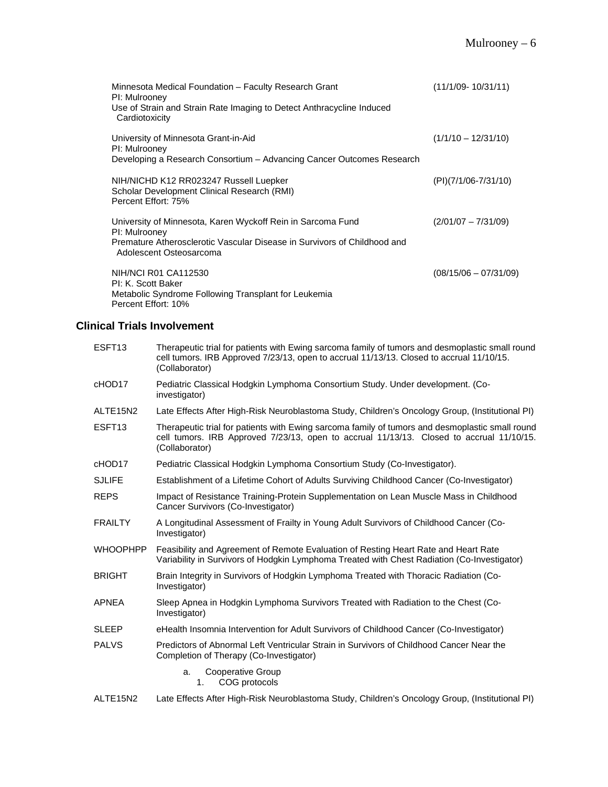| Minnesota Medical Foundation – Faculty Research Grant<br>PI: Mulrooney<br>Use of Strain and Strain Rate Imaging to Detect Anthracycline Induced<br>Cardiotoxicity                   | $(11/1/09 - 10/31/11)$  |
|-------------------------------------------------------------------------------------------------------------------------------------------------------------------------------------|-------------------------|
| University of Minnesota Grant-in-Aid<br>PI: Mulrooney<br>Developing a Research Consortium - Advancing Cancer Outcomes Research                                                      | $(1/1/10 - 12/31/10)$   |
| NIH/NICHD K12 RR023247 Russell Luepker<br>Scholar Development Clinical Research (RMI)<br>Percent Effort: 75%                                                                        | (PI)(7/1/06-7/31/10)    |
| University of Minnesota, Karen Wyckoff Rein in Sarcoma Fund<br>PI: Mulrooney<br>Premature Atherosclerotic Vascular Disease in Survivors of Childhood and<br>Adolescent Osteosarcoma | $(2/01/07 - 7/31/09)$   |
| NIH/NCI R01 CA112530<br>PI: K. Scott Baker<br>Metabolic Syndrome Following Transplant for Leukemia<br>Percent Effort: 10%                                                           | $(08/15/06 - 07/31/09)$ |

# **Clinical Trials Involvement**

| ESFT <sub>13</sub>                | Therapeutic trial for patients with Ewing sarcoma family of tumors and desmoplastic small round<br>cell tumors. IRB Approved 7/23/13, open to accrual 11/13/13. Closed to accrual 11/10/15.<br>(Collaborator) |
|-----------------------------------|---------------------------------------------------------------------------------------------------------------------------------------------------------------------------------------------------------------|
| cHOD17                            | Pediatric Classical Hodgkin Lymphoma Consortium Study. Under development. (Co-<br>investigator)                                                                                                               |
| ALTE <sub>15</sub> N <sub>2</sub> | Late Effects After High-Risk Neuroblastoma Study, Children's Oncology Group, (Institutional PI)                                                                                                               |
| ESFT <sub>13</sub>                | Therapeutic trial for patients with Ewing sarcoma family of tumors and desmoplastic small round<br>cell tumors. IRB Approved 7/23/13, open to accrual 11/13/13. Closed to accrual 11/10/15.<br>(Collaborator) |
| cHOD17                            | Pediatric Classical Hodgkin Lymphoma Consortium Study (Co-Investigator).                                                                                                                                      |
| <b>SJLIFE</b>                     | Establishment of a Lifetime Cohort of Adults Surviving Childhood Cancer (Co-Investigator)                                                                                                                     |
| <b>REPS</b>                       | Impact of Resistance Training-Protein Supplementation on Lean Muscle Mass in Childhood<br>Cancer Survivors (Co-Investigator)                                                                                  |
| <b>FRAILTY</b>                    | A Longitudinal Assessment of Frailty in Young Adult Survivors of Childhood Cancer (Co-<br>Investigator)                                                                                                       |
| <b>WHOOPHPP</b>                   | Feasibility and Agreement of Remote Evaluation of Resting Heart Rate and Heart Rate<br>Variability in Survivors of Hodgkin Lymphoma Treated with Chest Radiation (Co-Investigator)                            |
| <b>BRIGHT</b>                     | Brain Integrity in Survivors of Hodgkin Lymphoma Treated with Thoracic Radiation (Co-<br>Investigator)                                                                                                        |
| <b>APNEA</b>                      | Sleep Apnea in Hodgkin Lymphoma Survivors Treated with Radiation to the Chest (Co-<br>Investigator)                                                                                                           |
| <b>SLEEP</b>                      | eHealth Insomnia Intervention for Adult Survivors of Childhood Cancer (Co-Investigator)                                                                                                                       |
| <b>PALVS</b>                      | Predictors of Abnormal Left Ventricular Strain in Survivors of Childhood Cancer Near the<br>Completion of Therapy (Co-Investigator)                                                                           |
|                                   | Cooperative Group<br>a.<br>COG protocols<br>1.                                                                                                                                                                |
| ALTE15N2                          | Late Effects After High-Risk Neuroblastoma Study, Children's Oncology Group, (Institutional PI)                                                                                                               |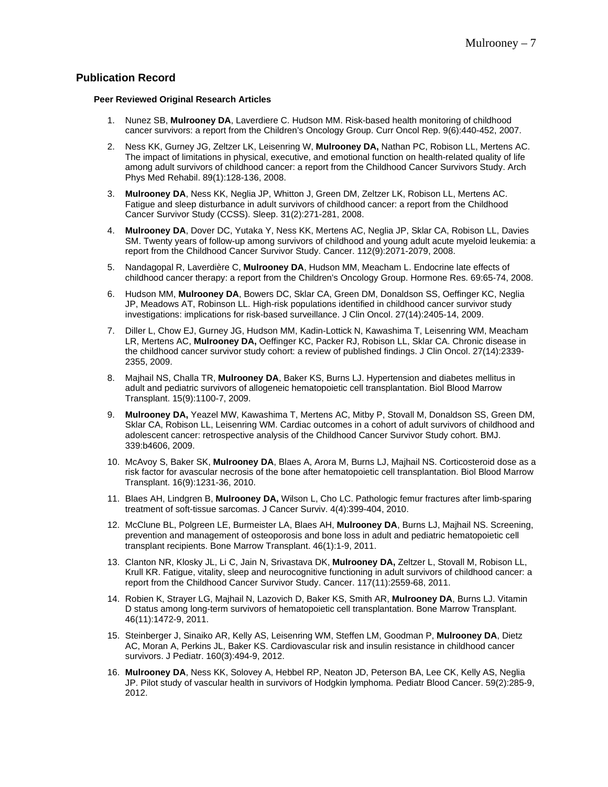## **Publication Record**

#### **Peer Reviewed Original Research Articles**

- 1. Nunez SB, **Mulrooney DA**, Laverdiere C. Hudson MM. Risk-based health monitoring of childhood cancer survivors: a report from the Children's Oncology Group. Curr Oncol Rep. 9(6):440-452, 2007.
- 2. Ness KK, Gurney JG, Zeltzer LK, Leisenring W, **Mulrooney DA,** Nathan PC, Robison LL, Mertens AC. The impact of limitations in physical, executive, and emotional function on health-related quality of life among adult survivors of childhood cancer: a report from the Childhood Cancer Survivors Study. Arch Phys Med Rehabil. 89(1):128-136, 2008.
- 3. **Mulrooney DA**, Ness KK, Neglia JP, Whitton J, Green DM, Zeltzer LK, Robison LL, Mertens AC. Fatigue and sleep disturbance in adult survivors of childhood cancer: a report from the Childhood Cancer Survivor Study (CCSS). Sleep. 31(2):271-281, 2008.
- 4. **Mulrooney DA**, Dover DC, Yutaka Y, Ness KK, Mertens AC, Neglia JP, Sklar CA, Robison LL, Davies SM. Twenty years of follow-up among survivors of childhood and young adult acute myeloid leukemia: a report from the Childhood Cancer Survivor Study. Cancer. 112(9):2071-2079, 2008.
- 5. Nandagopal R, Laverdière C, **Mulrooney DA**, Hudson MM, Meacham L. Endocrine late effects of childhood cancer therapy: a report from the Children's Oncology Group. Hormone Res. 69:65-74, 2008.
- 6. Hudson MM, **Mulrooney DA**, Bowers DC, Sklar CA, Green DM, Donaldson SS, Oeffinger KC, Neglia JP, Meadows AT, Robinson LL. High-risk populations identified in childhood cancer survivor study investigations: implications for risk-based surveillance. J Clin Oncol. 27(14):2405-14, 2009.
- 7. Diller L, Chow EJ, Gurney JG, Hudson MM, Kadin-Lottick N, Kawashima T, Leisenring WM, Meacham LR, Mertens AC, **Mulrooney DA,** Oeffinger KC, Packer RJ, Robison LL, Sklar CA. Chronic disease in the childhood cancer survivor study cohort: a review of published findings. J Clin Oncol. 27(14):2339- 2355, 2009.
- 8. Majhail NS, Challa TR, **Mulrooney DA**, Baker KS, Burns LJ. Hypertension and diabetes mellitus in adult and pediatric survivors of allogeneic hematopoietic cell transplantation. Biol Blood Marrow Transplant. 15(9):1100-7, 2009.
- 9. **Mulrooney DA,** Yeazel MW, Kawashima T, Mertens AC, Mitby P, Stovall M, Donaldson SS, Green DM, Sklar CA, Robison LL, Leisenring WM. Cardiac outcomes in a cohort of adult survivors of childhood and adolescent cancer: retrospective analysis of the Childhood Cancer Survivor Study cohort. BMJ. 339:b4606, 2009.
- 10. McAvoy S, Baker SK, **Mulrooney DA**, Blaes A, Arora M, Burns LJ, Majhail NS. Corticosteroid dose as a risk factor for avascular necrosis of the bone after hematopoietic cell transplantation. Biol Blood Marrow Transplant. 16(9):1231-36, 2010.
- 11. Blaes AH, Lindgren B, **Mulrooney DA,** Wilson L, Cho LC. Pathologic femur fractures after limb-sparing treatment of soft-tissue sarcomas. J Cancer Surviv. 4(4):399-404, 2010.
- 12. McClune BL, Polgreen LE, Burmeister LA, Blaes AH, **Mulrooney DA**, Burns LJ, Majhail NS. Screening, prevention and management of osteoporosis and bone loss in adult and pediatric hematopoietic cell transplant recipients. Bone Marrow Transplant. 46(1):1-9, 2011.
- 13. Clanton NR, Klosky JL, Li C, Jain N, Srivastava DK, **Mulrooney DA,** Zeltzer L, Stovall M, Robison LL, Krull KR. Fatigue, vitality, sleep and neurocognitive functioning in adult survivors of childhood cancer: a report from the Childhood Cancer Survivor Study. Cancer. 117(11):2559-68, 2011.
- 14. Robien K, Strayer LG, Majhail N, Lazovich D, Baker KS, Smith AR, **Mulrooney DA**, Burns LJ. Vitamin D status among long-term survivors of hematopoietic cell transplantation. Bone Marrow Transplant. 46(11):1472-9, 2011.
- 15. Steinberger J, Sinaiko AR, Kelly AS, Leisenring WM, Steffen LM, Goodman P, **Mulrooney DA**, Dietz AC, Moran A, Perkins JL, Baker KS. Cardiovascular risk and insulin resistance in childhood cancer survivors. J Pediatr. 160(3):494-9, 2012.
- 16. **Mulrooney DA**, Ness KK, Solovey A, Hebbel RP, Neaton JD, Peterson BA, Lee CK, Kelly AS, Neglia JP. Pilot study of vascular health in survivors of Hodgkin lymphoma. Pediatr Blood Cancer. 59(2):285-9, 2012.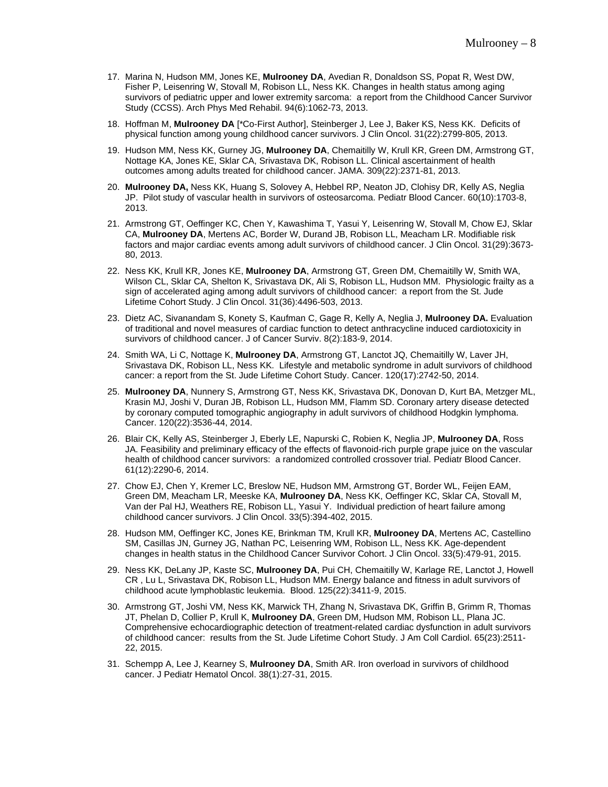- 17. Marina N, Hudson MM, Jones KE, **Mulrooney DA**, Avedian R, Donaldson SS, Popat R, West DW, Fisher P, Leisenring W, Stovall M, Robison LL, Ness KK. Changes in health status among aging survivors of pediatric upper and lower extremity sarcoma: a report from the Childhood Cancer Survivor Study (CCSS). Arch Phys Med Rehabil. 94(6):1062-73, 2013.
- 18. Hoffman M, **Mulrooney DA** [\*Co-First Author], Steinberger J, Lee J, Baker KS, Ness KK. Deficits of physical function among young childhood cancer survivors. J Clin Oncol. 31(22):2799-805, 2013.
- 19. Hudson MM, Ness KK, Gurney JG, **Mulrooney DA**, Chemaitilly W, Krull KR, Green DM, Armstrong GT, Nottage KA, Jones KE, Sklar CA, Srivastava DK, Robison LL. Clinical ascertainment of health outcomes among adults treated for childhood cancer. JAMA. 309(22):2371-81, 2013.
- 20. **Mulrooney DA,** Ness KK, Huang S, Solovey A, Hebbel RP, Neaton JD, Clohisy DR, Kelly AS, Neglia JP. Pilot study of vascular health in survivors of osteosarcoma. Pediatr Blood Cancer. 60(10):1703-8, 2013.
- 21. Armstrong GT, Oeffinger KC, Chen Y, Kawashima T, Yasui Y, Leisenring W, Stovall M, Chow EJ, Sklar CA, **Mulrooney DA**, Mertens AC, Border W, Durand JB, Robison LL, Meacham LR. Modifiable risk factors and major cardiac events among adult survivors of childhood cancer. J Clin Oncol. 31(29):3673- 80, 2013.
- 22. Ness KK, Krull KR, Jones KE, **Mulrooney DA**, Armstrong GT, Green DM, Chemaitilly W, Smith WA, Wilson CL, Sklar CA, Shelton K, Srivastava DK, Ali S, Robison LL, Hudson MM. Physiologic frailty as a sign of accelerated aging among adult survivors of childhood cancer: a report from the St. Jude Lifetime Cohort Study. J Clin Oncol. 31(36):4496-503, 2013.
- 23. Dietz AC, Sivanandam S, Konety S, Kaufman C, Gage R, Kelly A, Neglia J, **Mulrooney DA.** Evaluation of traditional and novel measures of cardiac function to detect anthracycline induced cardiotoxicity in survivors of childhood cancer. J of Cancer Surviv. 8(2):183-9, 2014.
- 24. Smith WA, Li C, Nottage K, **Mulrooney DA**, Armstrong GT, Lanctot JQ, Chemaitilly W, Laver JH, Srivastava DK, Robison LL, Ness KK. Lifestyle and metabolic syndrome in adult survivors of childhood cancer: a report from the St. Jude Lifetime Cohort Study. Cancer. 120(17):2742-50, 2014.
- 25. **Mulrooney DA**, Nunnery S, Armstrong GT, Ness KK, Srivastava DK, Donovan D, Kurt BA, Metzger ML, Krasin MJ, Joshi V, Duran JB, Robison LL, Hudson MM, Flamm SD. Coronary artery disease detected by coronary computed tomographic angiography in adult survivors of childhood Hodgkin lymphoma. Cancer. 120(22):3536-44, 2014.
- 26. Blair CK, Kelly AS, Steinberger J, Eberly LE, Napurski C, Robien K, Neglia JP, **Mulrooney DA**, Ross JA. Feasibility and preliminary efficacy of the effects of flavonoid-rich purple grape juice on the vascular health of childhood cancer survivors: a randomized controlled crossover trial. Pediatr Blood Cancer. 61(12):2290-6, 2014.
- 27. Chow EJ, Chen Y, Kremer LC, Breslow NE, Hudson MM, Armstrong GT, Border WL, Feijen EAM, Green DM, Meacham LR, Meeske KA, **Mulrooney DA**, Ness KK, Oeffinger KC, Sklar CA, Stovall M, Van der Pal HJ, Weathers RE, Robison LL, Yasui Y. Individual prediction of heart failure among childhood cancer survivors. J Clin Oncol. 33(5):394-402, 2015.
- 28. Hudson MM, Oeffinger KC, Jones KE, Brinkman TM, Krull KR, **Mulrooney DA**, Mertens AC, Castellino SM, Casillas JN, Gurney JG, Nathan PC, Leisenring WM, Robison LL, Ness KK. Age-dependent changes in health status in the Childhood Cancer Survivor Cohort. J Clin Oncol. 33(5):479-91, 2015.
- 29. Ness KK, DeLany JP, Kaste SC, **Mulrooney DA**, Pui CH, Chemaitilly W, Karlage RE, Lanctot J, Howell CR , Lu L, Srivastava DK, Robison LL, Hudson MM. Energy balance and fitness in adult survivors of childhood acute lymphoblastic leukemia. Blood. 125(22):3411-9, 2015.
- 30. Armstrong GT, Joshi VM, Ness KK, Marwick TH, Zhang N, Srivastava DK, Griffin B, Grimm R, Thomas JT, Phelan D, Collier P, Krull K, **Mulrooney DA**, Green DM, Hudson MM, Robison LL, Plana JC. Comprehensive echocardiographic detection of treatment-related cardiac dysfunction in adult survivors of childhood cancer: results from the St. Jude Lifetime Cohort Study. J Am Coll Cardiol. 65(23):2511- 22, 2015.
- 31. Schempp A, Lee J, Kearney S, **Mulrooney DA**, Smith AR. Iron overload in survivors of childhood cancer. J Pediatr Hematol Oncol. 38(1):27-31, 2015.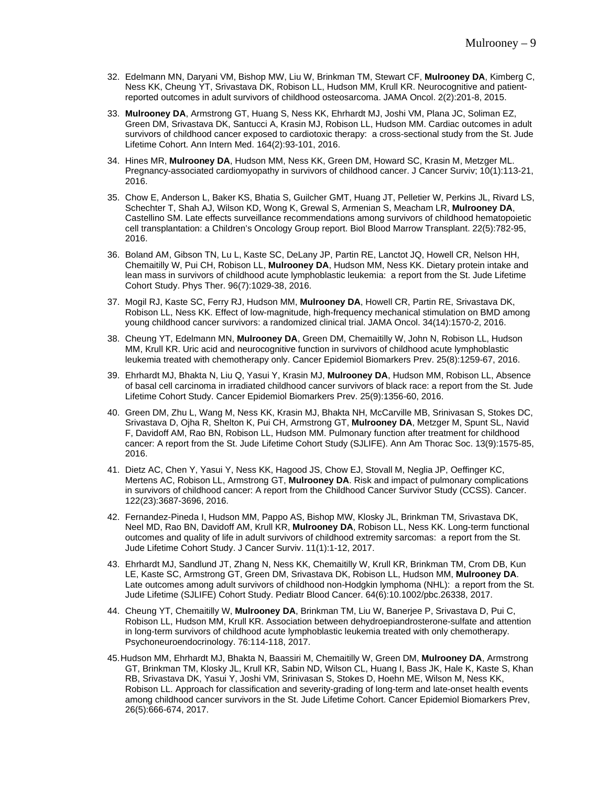- 32. Edelmann MN, Daryani VM, Bishop MW, Liu W, Brinkman TM, Stewart CF, **Mulrooney DA**, Kimberg C, Ness KK, Cheung YT, Srivastava DK, Robison LL, Hudson MM, Krull KR. Neurocognitive and patientreported outcomes in adult survivors of childhood osteosarcoma. JAMA Oncol. 2(2):201-8, 2015.
- 33. **Mulrooney DA**, Armstrong GT, Huang S, Ness KK, Ehrhardt MJ, Joshi VM, Plana JC, Soliman EZ, Green DM, Srivastava DK, Santucci A, Krasin MJ, Robison LL, Hudson MM. Cardiac outcomes in adult survivors of childhood cancer exposed to cardiotoxic therapy: a cross-sectional study from the St. Jude Lifetime Cohort. Ann Intern Med. 164(2):93-101, 2016.
- 34. Hines MR, **Mulrooney DA**, Hudson MM, Ness KK, Green DM, Howard SC, Krasin M, Metzger ML. Pregnancy-associated cardiomyopathy in survivors of childhood cancer. J Cancer Surviv; 10(1):113-21, 2016.
- 35. Chow E, Anderson L, Baker KS, Bhatia S, Guilcher GMT, Huang JT, Pelletier W, Perkins JL, Rivard LS, Schechter T, Shah AJ, Wilson KD, Wong K, Grewal S, Armenian S, Meacham LR, **Mulrooney DA**, Castellino SM. Late effects surveillance recommendations among survivors of childhood hematopoietic cell transplantation: a Children's Oncology Group report. Biol Blood Marrow Transplant. 22(5):782-95, 2016.
- 36. Boland AM, Gibson TN, Lu L, Kaste SC, DeLany JP, Partin RE, Lanctot JQ, Howell CR, Nelson HH, Chemaitilly W, Pui CH, Robison LL, **Mulrooney DA**, Hudson MM, Ness KK. Dietary protein intake and lean mass in survivors of childhood acute lymphoblastic leukemia: a report from the St. Jude Lifetime Cohort Study. Phys Ther. 96(7):1029-38, 2016.
- 37. Mogil RJ, Kaste SC, Ferry RJ, Hudson MM, **Mulrooney DA**, Howell CR, Partin RE, Srivastava DK, Robison LL, Ness KK. Effect of low-magnitude, high-frequency mechanical stimulation on BMD among young childhood cancer survivors: a randomized clinical trial. JAMA Oncol. 34(14):1570-2, 2016.
- 38. Cheung YT, Edelmann MN, **Mulrooney DA**, Green DM, Chemaitilly W, John N, Robison LL, Hudson MM, Krull KR. Uric acid and neurocognitive function in survivors of childhood acute lymphoblastic leukemia treated with chemotherapy only. Cancer Epidemiol Biomarkers Prev. 25(8):1259-67, 2016.
- 39. Ehrhardt MJ, Bhakta N, Liu Q, Yasui Y, Krasin MJ, **Mulrooney DA**, Hudson MM, Robison LL, Absence of basal cell carcinoma in irradiated childhood cancer survivors of black race: a report from the St. Jude Lifetime Cohort Study. Cancer Epidemiol Biomarkers Prev. 25(9):1356-60, 2016.
- 40. Green DM, Zhu L, Wang M, Ness KK, Krasin MJ, Bhakta NH, McCarville MB, Srinivasan S, Stokes DC, Srivastava D, Ojha R, Shelton K, Pui CH, Armstrong GT, **Mulrooney DA**, Metzger M, Spunt SL, Navid F, Davidoff AM, Rao BN, Robison LL, Hudson MM. Pulmonary function after treatment for childhood cancer: A report from the St. Jude Lifetime Cohort Study (SJLIFE). Ann Am Thorac Soc. 13(9):1575-85, 2016.
- 41. Dietz AC, Chen Y, Yasui Y, Ness KK, Hagood JS, Chow EJ, Stovall M, Neglia JP, Oeffinger KC, Mertens AC, Robison LL, Armstrong GT, **Mulrooney DA**. Risk and impact of pulmonary complications in survivors of childhood cancer: A report from the Childhood Cancer Survivor Study (CCSS). Cancer. 122(23):3687-3696, 2016.
- 42. Fernandez-Pineda I, Hudson MM, Pappo AS, Bishop MW, Klosky JL, Brinkman TM, Srivastava DK, Neel MD, Rao BN, Davidoff AM, Krull KR, **Mulrooney DA**, Robison LL, Ness KK. Long-term functional outcomes and quality of life in adult survivors of childhood extremity sarcomas: a report from the St. Jude Lifetime Cohort Study. J Cancer Surviv. 11(1):1-12, 2017.
- 43. Ehrhardt MJ, Sandlund JT, Zhang N, Ness KK, Chemaitilly W, Krull KR, Brinkman TM, Crom DB, Kun LE, Kaste SC, Armstrong GT, Green DM, Srivastava DK, Robison LL, Hudson MM, **Mulrooney DA**. Late outcomes among adult survivors of childhood non-Hodgkin lymphoma (NHL): a report from the St. Jude Lifetime (SJLIFE) Cohort Study. Pediatr Blood Cancer. 64(6):10.1002/pbc.26338, 2017.
- 44. Cheung YT, Chemaitilly W, **Mulrooney DA**, Brinkman TM, Liu W, Banerjee P, Srivastava D, Pui C, Robison LL, Hudson MM, Krull KR. Association between dehydroepiandrosterone-sulfate and attention in long-term survivors of childhood acute lymphoblastic leukemia treated with only chemotherapy. Psychoneuroendocrinology. 76:114-118, 2017.
- 45.Hudson MM, Ehrhardt MJ, Bhakta N, Baassiri M, Chemaitilly W, Green DM, **Mulrooney DA**, Armstrong GT, Brinkman TM, Klosky JL, Krull KR, Sabin ND, Wilson CL, Huang I, Bass JK, Hale K, Kaste S, Khan RB, Srivastava DK, Yasui Y, Joshi VM, Srinivasan S, Stokes D, Hoehn ME, Wilson M, Ness KK, Robison LL. Approach for classification and severity-grading of long-term and late-onset health events among childhood cancer survivors in the St. Jude Lifetime Cohort. Cancer Epidemiol Biomarkers Prev, 26(5):666-674, 2017.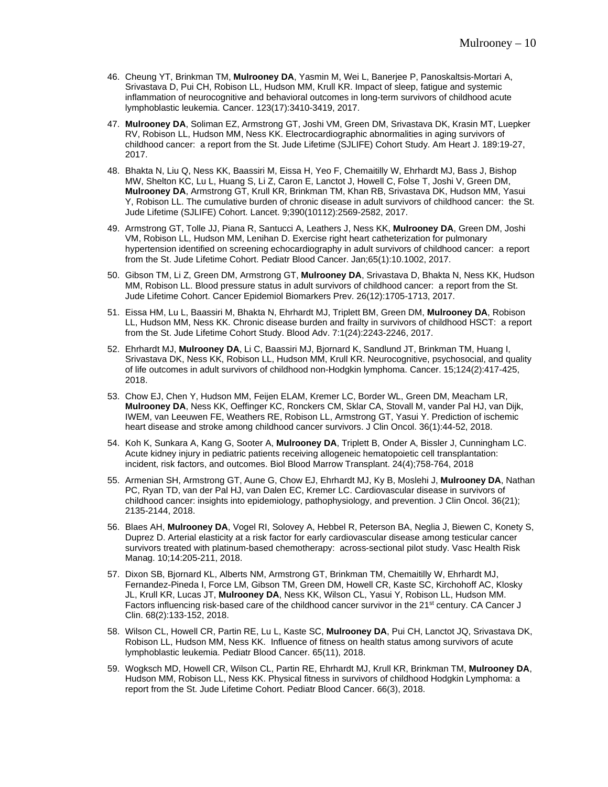- 46. Cheung YT, Brinkman TM, **Mulrooney DA**, Yasmin M, Wei L, Banerjee P, Panoskaltsis-Mortari A, Srivastava D, Pui CH, Robison LL, Hudson MM, Krull KR. Impact of sleep, fatigue and systemic inflammation of neurocognitive and behavioral outcomes in long-term survivors of childhood acute lymphoblastic leukemia. Cancer. 123(17):3410-3419, 2017.
- 47. **Mulrooney DA**, Soliman EZ, Armstrong GT, Joshi VM, Green DM, Srivastava DK, Krasin MT, Luepker RV, Robison LL, Hudson MM, Ness KK. Electrocardiographic abnormalities in aging survivors of childhood cancer: a report from the St. Jude Lifetime (SJLIFE) Cohort Study. Am Heart J. 189:19-27, 2017.
- 48. Bhakta N, Liu Q, Ness KK, Baassiri M, Eissa H, Yeo F, Chemaitilly W, Ehrhardt MJ, Bass J, Bishop MW, Shelton KC, Lu L, Huang S, Li Z, Caron E, Lanctot J, Howell C, Folse T, Joshi V, Green DM, **Mulrooney DA**, Armstrong GT, Krull KR, Brinkman TM, Khan RB, Srivastava DK, Hudson MM, Yasui Y, Robison LL. The cumulative burden of chronic disease in adult survivors of childhood cancer: the St. Jude Lifetime (SJLIFE) Cohort. Lancet. 9;390(10112):2569-2582, 2017.
- 49. Armstrong GT, Tolle JJ, Piana R, Santucci A, Leathers J, Ness KK, **Mulrooney DA**, Green DM, Joshi VM, Robison LL, Hudson MM, Lenihan D. Exercise right heart catheterization for pulmonary hypertension identified on screening echocardiography in adult survivors of childhood cancer: a report from the St. Jude Lifetime Cohort. Pediatr Blood Cancer. Jan;65(1):10.1002, 2017.
- 50. Gibson TM, Li Z, Green DM, Armstrong GT, **Mulrooney DA**, Srivastava D, Bhakta N, Ness KK, Hudson MM, Robison LL. Blood pressure status in adult survivors of childhood cancer: a report from the St. Jude Lifetime Cohort. Cancer Epidemiol Biomarkers Prev. 26(12):1705-1713, 2017.
- 51. Eissa HM, Lu L, Baassiri M, Bhakta N, Ehrhardt MJ, Triplett BM, Green DM, **Mulrooney DA**, Robison LL, Hudson MM, Ness KK. Chronic disease burden and frailty in survivors of childhood HSCT: a report from the St. Jude Lifetime Cohort Study. Blood Adv. 7:1(24):2243-2246, 2017.
- 52. Ehrhardt MJ, **Mulrooney DA**, Li C, Baassiri MJ, Bjornard K, Sandlund JT, Brinkman TM, Huang I, Srivastava DK, Ness KK, Robison LL, Hudson MM, Krull KR. Neurocognitive, psychosocial, and quality of life outcomes in adult survivors of childhood non-Hodgkin lymphoma. Cancer. 15;124(2):417-425, 2018.
- 53. Chow EJ, Chen Y, Hudson MM, Feijen ELAM, Kremer LC, Border WL, Green DM, Meacham LR, **Mulrooney DA**, Ness KK, Oeffinger KC, Ronckers CM, Sklar CA, Stovall M, vander Pal HJ, van Dijk, IWEM, van Leeuwen FE, Weathers RE, Robison LL, Armstrong GT, Yasui Y. Prediction of ischemic heart disease and stroke among childhood cancer survivors. J Clin Oncol. 36(1):44-52, 2018.
- 54. Koh K, Sunkara A, Kang G, Sooter A, **Mulrooney DA**, Triplett B, Onder A, Bissler J, Cunningham LC. Acute kidney injury in pediatric patients receiving allogeneic hematopoietic cell transplantation: incident, risk factors, and outcomes. Biol Blood Marrow Transplant. 24(4);758-764, 2018
- 55. Armenian SH, Armstrong GT, Aune G, Chow EJ, Ehrhardt MJ, Ky B, Moslehi J, **Mulrooney DA**, Nathan PC, Ryan TD, van der Pal HJ, van Dalen EC, Kremer LC. Cardiovascular disease in survivors of childhood cancer: insights into epidemiology, pathophysiology, and prevention. J Clin Oncol. 36(21); 2135-2144, 2018.
- 56. Blaes AH, **Mulrooney DA**, Vogel RI, Solovey A, Hebbel R, Peterson BA, Neglia J, Biewen C, Konety S, Duprez D. Arterial elasticity at a risk factor for early cardiovascular disease among testicular cancer survivors treated with platinum-based chemotherapy: across-sectional pilot study. Vasc Health Risk Manag. 10;14:205-211, 2018.
- 57. Dixon SB, Bjornard KL, Alberts NM, Armstrong GT, Brinkman TM, Chemaitilly W, Ehrhardt MJ, Fernandez-Pineda I, Force LM, Gibson TM, Green DM, Howell CR, Kaste SC, Kirchohoff AC, Klosky JL, Krull KR, Lucas JT, **Mulrooney DA**, Ness KK, Wilson CL, Yasui Y, Robison LL, Hudson MM. Factors influencing risk-based care of the childhood cancer survivor in the 21<sup>st</sup> century. CA Cancer J Clin. 68(2):133-152, 2018.
- 58. Wilson CL, Howell CR, Partin RE, Lu L, Kaste SC, **Mulrooney DA**, Pui CH, Lanctot JQ, Srivastava DK, Robison LL, Hudson MM, Ness KK. Influence of fitness on health status among survivors of acute lymphoblastic leukemia. Pediatr Blood Cancer. 65(11), 2018.
- 59. Wogksch MD, Howell CR, Wilson CL, Partin RE, Ehrhardt MJ, Krull KR, Brinkman TM, **Mulrooney DA**, Hudson MM, Robison LL, Ness KK. Physical fitness in survivors of childhood Hodgkin Lymphoma: a report from the St. Jude Lifetime Cohort. [Pediatr Blood Cancer.](https://www.ncbi.nlm.nih.gov/pubmed/?term=wogksch) 66(3), 2018.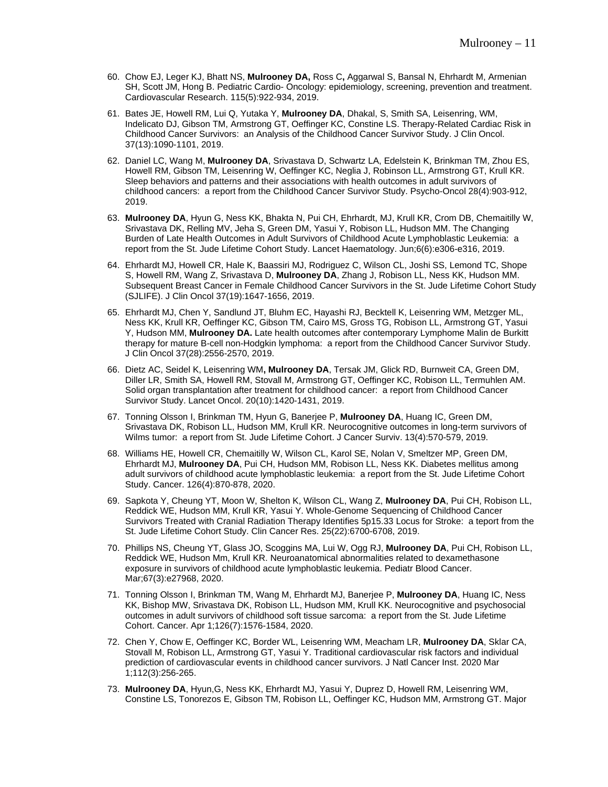- 60. Chow EJ, Leger KJ, Bhatt NS, **Mulrooney DA,** Ross C**,** Aggarwal S, Bansal N, Ehrhardt M, Armenian SH, Scott JM, Hong B. Pediatric Cardio- Oncology: epidemiology, screening, prevention and treatment. Cardiovascular Research. 115(5):922-934, 2019.
- 61. Bates JE, Howell RM, Lui Q, Yutaka Y, **Mulrooney DA**, Dhakal, S, Smith SA, Leisenring, WM, Indelicato DJ, Gibson TM, Armstrong GT, Oeffinger KC, Constine LS. Therapy-Related Cardiac Risk in Childhood Cancer Survivors: an Analysis of the Childhood Cancer Survivor Study. J Clin Oncol. 37(13):1090-1101, 2019.
- 62. Daniel LC, Wang M, **Mulrooney DA**, Srivastava D, Schwartz LA, Edelstein K, Brinkman TM, Zhou ES, Howell RM, Gibson TM, Leisenring W, Oeffinger KC, Neglia J, Robinson LL, Armstrong GT, Krull KR. Sleep behaviors and patterns and their associations with health outcomes in adult survivors of childhood cancers: a report from the Childhood Cancer Survivor Study. Psycho-Oncol 28(4):903-912, 2019.
- 63. **Mulrooney DA**, Hyun G, Ness KK, Bhakta N, Pui CH, Ehrhardt, MJ, Krull KR, Crom DB, Chemaitilly W, Srivastava DK, Relling MV, Jeha S, Green DM, Yasui Y, Robison LL, Hudson MM. The Changing Burden of Late Health Outcomes in Adult Survivors of Childhood Acute Lymphoblastic Leukemia: a report from the St. Jude Lifetime Cohort Study. Lancet Haematology. Jun;6(6):e306-e316, 2019.
- 64. Ehrhardt MJ, Howell CR, Hale K, Baassiri MJ, Rodriguez C, Wilson CL, Joshi SS, Lemond TC, Shope S, Howell RM, Wang Z, Srivastava D, **Mulrooney DA**, Zhang J, Robison LL, Ness KK, Hudson MM. Subsequent Breast Cancer in Female Childhood Cancer Survivors in the St. Jude Lifetime Cohort Study (SJLIFE). J Clin Oncol 37(19):1647-1656, 2019.
- 65. Ehrhardt MJ, Chen Y, Sandlund JT, Bluhm EC, Hayashi RJ, Becktell K, Leisenring WM, Metzger ML, Ness KK, Krull KR, Oeffinger KC, Gibson TM, Cairo MS, Gross TG, Robison LL, Armstrong GT, Yasui Y, Hudson MM, **Mulrooney DA.** Late health outcomes after contemporary Lymphome Malin de Burkitt therapy for mature B-cell non-Hodgkin lymphoma: a report from the Childhood Cancer Survivor Study. J Clin Oncol 37(28):2556-2570, 2019.
- 66. Dietz AC, Seidel K, Leisenring WM**, Mulrooney DA**, Tersak JM, Glick RD, Burnweit CA, Green DM, Diller LR, Smith SA, Howell RM, Stovall M, Armstrong GT, Oeffinger KC, Robison LL, Termuhlen AM. Solid organ transplantation after treatment for childhood cancer: a report from Childhood Cancer Survivor Study. Lancet Oncol. 20(10):1420-1431, 2019.
- 67. Tonning Olsson I, Brinkman TM, Hyun G, Banerjee P, **Mulrooney DA**, Huang IC, Green DM, Srivastava DK, Robison LL, Hudson MM, Krull KR. Neurocognitive outcomes in long-term survivors of Wilms tumor: a report from St. Jude Lifetime Cohort. J Cancer Surviv. 13(4):570-579, 2019.
- 68. Williams HE, Howell CR, Chemaitilly W, Wilson CL, Karol SE, Nolan V, Smeltzer MP, Green DM, Ehrhardt MJ, **Mulrooney DA**, Pui CH, Hudson MM, Robison LL, Ness KK. Diabetes mellitus among adult survivors of childhood acute lymphoblastic leukemia: a report from the St. Jude Lifetime Cohort Study. Cancer. 126(4):870-878, 2020.
- 69. Sapkota Y, Cheung YT, Moon W, Shelton K, Wilson CL, Wang Z, **Mulrooney DA**, Pui CH, Robison LL, Reddick WE, Hudson MM, Krull KR, Yasui Y. Whole-Genome Sequencing of Childhood Cancer Survivors Treated with Cranial Radiation Therapy Identifies 5p15.33 Locus for Stroke: a teport from the St. Jude Lifetime Cohort Study. Clin Cancer Res. 25(22):6700-6708, 2019.
- 70. Phillips NS, Cheung YT, Glass JO, Scoggins MA, Lui W, Ogg RJ, **Mulrooney DA**, Pui CH, Robison LL, Reddick WE, Hudson Mm, Krull KR. Neuroanatomical abnormalities related to dexamethasone exposure in survivors of childhood acute lymphoblastic leukemia. Pediatr Blood Cancer. Mar;67(3):e27968, 2020.
- 71. Tonning Olsson I, Brinkman TM, Wang M, Ehrhardt MJ, Banerjee P, **Mulrooney DA**, Huang IC, Ness KK, Bishop MW, Srivastava DK, Robison LL, Hudson MM, Krull KK. Neurocognitive and psychosocial outcomes in adult survivors of childhood soft tissue sarcoma: a report from the St. Jude Lifetime Cohort. Cancer. Apr 1;126(7):1576-1584, 2020.
- 72. Chen Y, Chow E, Oeffinger KC, Border WL, Leisenring WM, Meacham LR, **Mulrooney DA**, Sklar CA, Stovall M, Robison LL, Armstrong GT, Yasui Y. Traditional cardiovascular risk factors and individual prediction of cardiovascular events in childhood cancer survivors. J Natl Cancer Inst. 2020 Mar 1;112(3):256-265.
- 73. **Mulrooney DA**, Hyun,G, Ness KK, Ehrhardt MJ, Yasui Y, Duprez D, Howell RM, Leisenring WM, Constine LS, Tonorezos E, Gibson TM, Robison LL, Oeffinger KC, Hudson MM, Armstrong GT. Major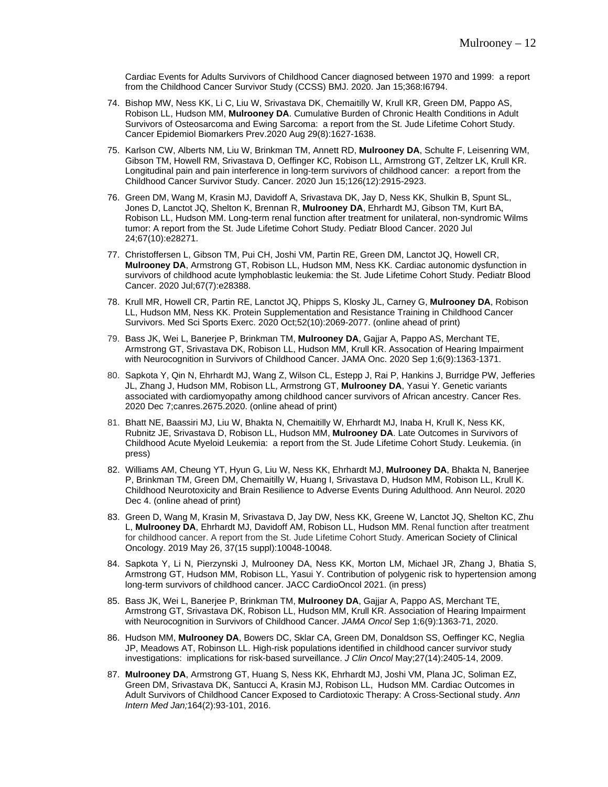Cardiac Events for Adults Survivors of Childhood Cancer diagnosed between 1970 and 1999: a report from the Childhood Cancer Survivor Study (CCSS) BMJ. 2020. Jan 15;368:I6794.

- 74. Bishop MW, Ness KK, Li C, Liu W, Srivastava DK, Chemaitilly W, Krull KR, Green DM, Pappo AS, Robison LL, Hudson MM, **Mulrooney DA**. Cumulative Burden of Chronic Health Conditions in Adult Survivors of Osteosarcoma and Ewing Sarcoma: a report from the St. Jude Lifetime Cohort Study. Cancer Epidemiol Biomarkers Prev.2020 Aug 29(8):1627-1638.
- 75. Karlson CW, Alberts NM, Liu W, Brinkman TM, Annett RD, **Mulrooney DA**, Schulte F, Leisenring WM, Gibson TM, Howell RM, Srivastava D, Oeffinger KC, Robison LL, Armstrong GT, Zeltzer LK, Krull KR. Longitudinal pain and pain interference in long-term survivors of childhood cancer: a report from the Childhood Cancer Survivor Study. Cancer. 2020 Jun 15;126(12):2915-2923.
- 76. Green DM, Wang M, Krasin MJ, Davidoff A, Srivastava DK, Jay D, Ness KK, Shulkin B, Spunt SL, Jones D, Lanctot JQ, Shelton K, Brennan R, **Mulrooney DA**, Ehrhardt MJ, Gibson TM, Kurt BA, Robison LL, Hudson MM. Long-term renal function after treatment for unilateral, non-syndromic Wilms tumor: A report from the St. Jude Lifetime Cohort Study. Pediatr Blood Cancer. 2020 Jul 24;67(10):e28271.
- 77. Christoffersen L, Gibson TM, Pui CH, Joshi VM, Partin RE, Green DM, Lanctot JQ, Howell CR, **Mulrooney DA**, Armstrong GT, Robison LL, Hudson MM, Ness KK. Cardiac autonomic dysfunction in survivors of childhood acute lymphoblastic leukemia: the St. Jude Lifetime Cohort Study. Pediatr Blood Cancer. 2020 Jul;67(7):e28388.
- 78. Krull MR, Howell CR, Partin RE, Lanctot JQ, Phipps S, Klosky JL, Carney G, **Mulrooney DA**, Robison LL, Hudson MM, Ness KK. Protein Supplementation and Resistance Training in Childhood Cancer Survivors. Med Sci Sports Exerc. 2020 Oct;52(10):2069-2077. (online ahead of print)
- 79. Bass JK, Wei L, Banerjee P, Brinkman TM, **Mulrooney DA**, Gajjar A, Pappo AS, Merchant TE, Armstrong GT, Srivastava DK, Robison LL, Hudson MM, Krull KR. Assocation of Hearing Impairment with Neurocognition in Survivors of Childhood Cancer. JAMA Onc. 2020 Sep 1;6(9):1363-1371.
- 80. Sapkota Y, Qin N, Ehrhardt MJ, Wang Z, Wilson CL, Estepp J, Rai P, Hankins J, Burridge PW, Jefferies JL, Zhang J, Hudson MM, Robison LL, Armstrong GT, **Mulrooney DA**, Yasui Y. Genetic variants associated with cardiomyopathy among childhood cancer survivors of African ancestry. Cancer Res. 2020 Dec 7;canres.2675.2020. (online ahead of print)
- 81. Bhatt NE, Baassiri MJ, Liu W, Bhakta N, Chemaitilly W, Ehrhardt MJ, Inaba H, Krull K, Ness KK, Rubnitz JE, Srivastava D, Robison LL, Hudson MM, **Mulrooney DA**. Late Outcomes in Survivors of Childhood Acute Myeloid Leukemia: a report from the St. Jude Lifetime Cohort Study. Leukemia. (in press)
- 82. Williams AM, Cheung YT, Hyun G, Liu W, Ness KK, Ehrhardt MJ, **Mulrooney DA**, Bhakta N, Banerjee P, Brinkman TM, Green DM, Chemaitilly W, Huang I, Srivastava D, Hudson MM, Robison LL, Krull K. Childhood Neurotoxicity and Brain Resilience to Adverse Events During Adulthood. Ann Neurol. 2020 Dec 4. (online ahead of print)
- 83. Green D, Wang M, Krasin M, Srivastava D, Jay DW, Ness KK, Greene W, Lanctot JQ, Shelton KC, Zhu L, **Mulrooney DA**, Ehrhardt MJ, Davidoff AM, Robison LL, Hudson MM. Renal function after treatment for childhood cancer. A report from the St. Jude Lifetime Cohort Study. American Society of Clinical Oncology. 2019 May 26, 37(15 suppl):10048-10048.
- 84. Sapkota Y, Li N, Pierzynski J, Mulrooney DA, Ness KK, Morton LM, Michael JR, Zhang J, Bhatia S, Armstrong GT, Hudson MM, Robison LL, Yasui Y. Contribution of polygenic risk to hypertension among long-term survivors of childhood cancer. JACC CardioOncol 2021. (in press)
- 85. Bass JK, Wei L, Banerjee P, Brinkman TM, **Mulrooney DA**, Gajjar A, Pappo AS, Merchant TE, Armstrong GT, Srivastava DK, Robison LL, Hudson MM, Krull KR. Association of Hearing Impairment with Neurocognition in Survivors of Childhood Cancer. *JAMA Oncol* Sep 1;6(9):1363-71, 2020.
- 86. Hudson MM, **Mulrooney DA**, Bowers DC, Sklar CA, Green DM, Donaldson SS, Oeffinger KC, Neglia JP, Meadows AT, Robinson LL. High-risk populations identified in childhood cancer survivor study investigations: implications for risk-based surveillance. *J Clin Oncol* May;27(14):2405-14, 2009.
- 87. **Mulrooney DA**, Armstrong GT, Huang S, Ness KK, Ehrhardt MJ, Joshi VM, Plana JC, Soliman EZ, Green DM, Srivastava DK, Santucci A, Krasin MJ, Robison LL, Hudson MM. Cardiac Outcomes in Adult Survivors of Childhood Cancer Exposed to Cardiotoxic Therapy: A Cross-Sectional study. *Ann Intern Med Jan;*164(2):93-101, 2016.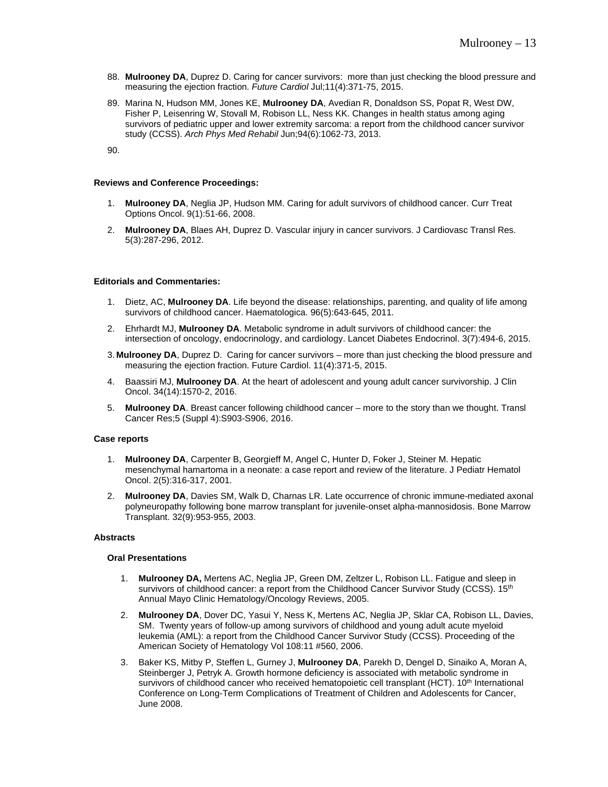- 88. **Mulrooney DA**, Duprez D. Caring for cancer survivors: more than just checking the blood pressure and measuring the ejection fraction. *Future Cardiol* Jul;11(4):371-75, 2015.
- 89. Marina N, Hudson MM, Jones KE, **Mulrooney DA**, Avedian R, Donaldson SS, Popat R, West DW, Fisher P, Leisenring W, Stovall M, Robison LL, Ness KK. Changes in health status among aging survivors of pediatric upper and lower extremity sarcoma: a report from the childhood cancer survivor study (CCSS). *Arch Phys Med Rehabil* Jun;94(6):1062-73, 2013.

90.

#### **Reviews and Conference Proceedings:**

- 1. **Mulrooney DA**, Neglia JP, Hudson MM. Caring for adult survivors of childhood cancer. Curr Treat Options Oncol. 9(1):51-66, 2008.
- 2. **Mulrooney DA**, Blaes AH, Duprez D. Vascular injury in cancer survivors. J Cardiovasc Transl Res. 5(3):287-296, 2012.

#### **Editorials and Commentaries:**

- 1. Dietz, AC, **Mulrooney DA**. Life beyond the disease: relationships, parenting, and quality of life among survivors of childhood cancer. Haematologica. 96(5):643-645, 2011.
- 2. Ehrhardt MJ, **Mulrooney DA**. Metabolic syndrome in adult survivors of childhood cancer: the intersection of oncology, endocrinology, and cardiology. Lancet Diabetes Endocrinol. 3(7):494-6, 2015.
- 3. **Mulrooney DA**, Duprez D. Caring for cancer survivors more than just checking the blood pressure and measuring the ejection fraction. Future Cardiol. 11(4):371-5, 2015.
- 4. Baassiri MJ, **Mulrooney DA**. At the heart of adolescent and young adult cancer survivorship. J Clin Oncol. 34(14):1570-2, 2016.
- 5. **Mulrooney DA**. Breast cancer following childhood cancer more to the story than we thought. Transl Cancer Res;5 (Suppl 4):S903-S906, 2016.

#### **Case reports**

- 1. **Mulrooney DA**, Carpenter B, Georgieff M, Angel C, Hunter D, Foker J, Steiner M. Hepatic mesenchymal hamartoma in a neonate: a case report and review of the literature. J Pediatr Hematol Oncol. 2(5):316-317, 2001.
- 2. **Mulrooney DA**, Davies SM, Walk D, Charnas LR. Late occurrence of chronic immune-mediated axonal polyneuropathy following bone marrow transplant for juvenile-onset alpha-mannosidosis. Bone Marrow Transplant. 32(9):953-955, 2003.

#### **Abstracts**

#### **Oral Presentations**

- 1. **Mulrooney DA,** Mertens AC, Neglia JP, Green DM, Zeltzer L, Robison LL. Fatigue and sleep in survivors of childhood cancer: a report from the Childhood Cancer Survivor Study (CCSS). 15<sup>th</sup> Annual Mayo Clinic Hematology/Oncology Reviews, 2005.
- 2. **Mulrooney DA**, Dover DC, Yasui Y, Ness K, Mertens AC, Neglia JP, Sklar CA, Robison LL, Davies, SM. Twenty years of follow-up among survivors of childhood and young adult acute myeloid leukemia (AML): a report from the Childhood Cancer Survivor Study (CCSS). Proceeding of the American Society of Hematology Vol 108:11 #560, 2006.
- 3. Baker KS, Mitby P, Steffen L, Gurney J, **Mulrooney DA**, Parekh D, Dengel D, Sinaiko A, Moran A, Steinberger J, Petryk A. Growth hormone deficiency is associated with metabolic syndrome in survivors of childhood cancer who received hematopoietic cell transplant (HCT). 10<sup>th</sup> International Conference on Long-Term Complications of Treatment of Children and Adolescents for Cancer, June 2008.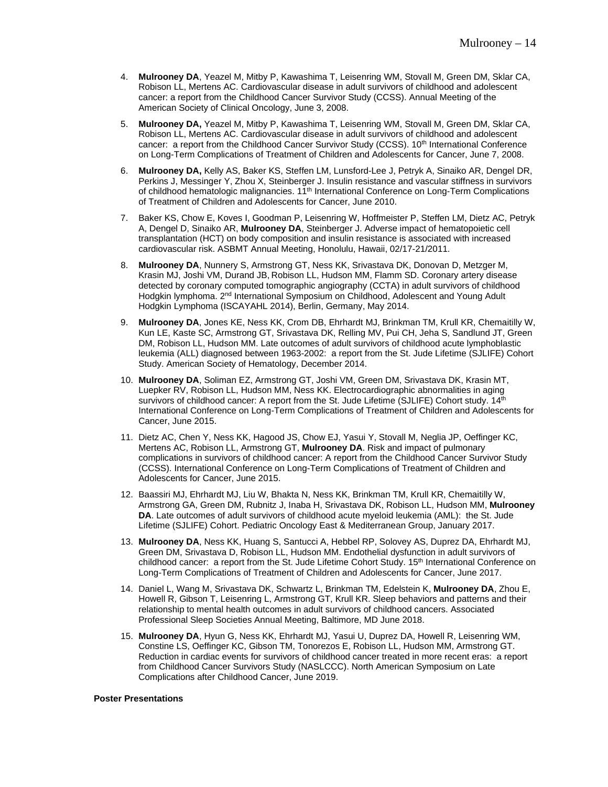- 4. **Mulrooney DA**, Yeazel M, Mitby P, Kawashima T, Leisenring WM, Stovall M, Green DM, Sklar CA, Robison LL, Mertens AC. Cardiovascular disease in adult survivors of childhood and adolescent cancer: a report from the Childhood Cancer Survivor Study (CCSS). Annual Meeting of the American Society of Clinical Oncology, June 3, 2008.
- 5. **Mulrooney DA,** Yeazel M, Mitby P, Kawashima T, Leisenring WM, Stovall M, Green DM, Sklar CA, Robison LL, Mertens AC. Cardiovascular disease in adult survivors of childhood and adolescent cancer: a report from the Childhood Cancer Survivor Study (CCSS), 10<sup>th</sup> International Conference on Long-Term Complications of Treatment of Children and Adolescents for Cancer, June 7, 2008.
- 6. **Mulrooney DA,** Kelly AS, Baker KS, Steffen LM, Lunsford-Lee J, Petryk A, Sinaiko AR, Dengel DR, Perkins J, Messinger Y, Zhou X, Steinberger J. Insulin resistance and vascular stiffness in survivors of childhood hematologic malignancies. 11<sup>th</sup> International Conference on Long-Term Complications of Treatment of Children and Adolescents for Cancer, June 2010.
- 7. Baker KS, Chow E, Koves I, Goodman P, Leisenring W, Hoffmeister P, Steffen LM, Dietz AC, Petryk A, Dengel D, Sinaiko AR, **Mulrooney DA**, Steinberger J. Adverse impact of hematopoietic cell transplantation (HCT) on body composition and insulin resistance is associated with increased cardiovascular risk. ASBMT Annual Meeting, Honolulu, Hawaii, 02/17-21/2011.
- 8. **Mulrooney DA**, Nunnery S, Armstrong GT, Ness KK, Srivastava DK, Donovan D, Metzger M, Krasin MJ, Joshi VM, Durand JB, Robison LL, Hudson MM, Flamm SD. Coronary artery disease detected by coronary computed tomographic angiography (CCTA) in adult survivors of childhood Hodgkin lymphoma. 2<sup>nd</sup> International Symposium on Childhood, Adolescent and Young Adult Hodgkin Lymphoma (ISCAYAHL 2014), Berlin, Germany, May 2014.
- 9. **Mulrooney DA**, Jones KE, Ness KK, Crom DB, Ehrhardt MJ, Brinkman TM, Krull KR, Chemaitilly W, Kun LE, Kaste SC, Armstrong GT, Srivastava DK, Relling MV, Pui CH, Jeha S, Sandlund JT, Green DM, Robison LL, Hudson MM. Late outcomes of adult survivors of childhood acute lymphoblastic leukemia (ALL) diagnosed between 1963-2002: a report from the St. Jude Lifetime (SJLIFE) Cohort Study. American Society of Hematology, December 2014.
- 10. **Mulrooney DA**, Soliman EZ, Armstrong GT, Joshi VM, Green DM, Srivastava DK, Krasin MT, Luepker RV, Robison LL, Hudson MM, Ness KK. Electrocardiographic abnormalities in aging survivors of childhood cancer: A report from the St. Jude Lifetime (SJLIFE) Cohort study.  $14<sup>th</sup>$ International Conference on Long-Term Complications of Treatment of Children and Adolescents for Cancer, June 2015.
- 11. Dietz AC, Chen Y, Ness KK, Hagood JS, Chow EJ, Yasui Y, Stovall M, Neglia JP, Oeffinger KC, Mertens AC, Robison LL, Armstrong GT, **Mulrooney DA**. Risk and impact of pulmonary complications in survivors of childhood cancer: A report from the Childhood Cancer Survivor Study (CCSS). International Conference on Long-Term Complications of Treatment of Children and Adolescents for Cancer, June 2015.
- 12. Baassiri MJ, Ehrhardt MJ, Liu W, Bhakta N, Ness KK, Brinkman TM, Krull KR, Chemaitilly W, Armstrong GA, Green DM, Rubnitz J, Inaba H, Srivastava DK, Robison LL, Hudson MM, **Mulrooney DA**. Late outcomes of adult survivors of childhood acute myeloid leukemia (AML): the St. Jude Lifetime (SJLIFE) Cohort. Pediatric Oncology East & Mediterranean Group, January 2017.
- 13. **Mulrooney DA**, Ness KK, Huang S, Santucci A, Hebbel RP, Solovey AS, Duprez DA, Ehrhardt MJ, Green DM, Srivastava D, Robison LL, Hudson MM. Endothelial dysfunction in adult survivors of childhood cancer: a report from the St. Jude Lifetime Cohort Study. 15<sup>th</sup> International Conference on Long-Term Complications of Treatment of Children and Adolescents for Cancer, June 2017.
- 14. Daniel L, Wang M, Srivastava DK, Schwartz L, Brinkman TM, Edelstein K, **Mulrooney DA**, Zhou E, Howell R, Gibson T, Leisenring L, Armstrong GT, Krull KR. Sleep behaviors and patterns and their relationship to mental health outcomes in adult survivors of childhood cancers. Associated Professional Sleep Societies Annual Meeting, Baltimore, MD June 2018.
- 15. **Mulrooney DA**, Hyun G, Ness KK, Ehrhardt MJ, Yasui U, Duprez DA, Howell R, Leisenring WM, Constine LS, Oeffinger KC, Gibson TM, Tonorezos E, Robison LL, Hudson MM, Armstrong GT. Reduction in cardiac events for survivors of childhood cancer treated in more recent eras: a report from Childhood Cancer Survivors Study (NASLCCC). North American Symposium on Late Complications after Childhood Cancer, June 2019.

#### **Poster Presentations**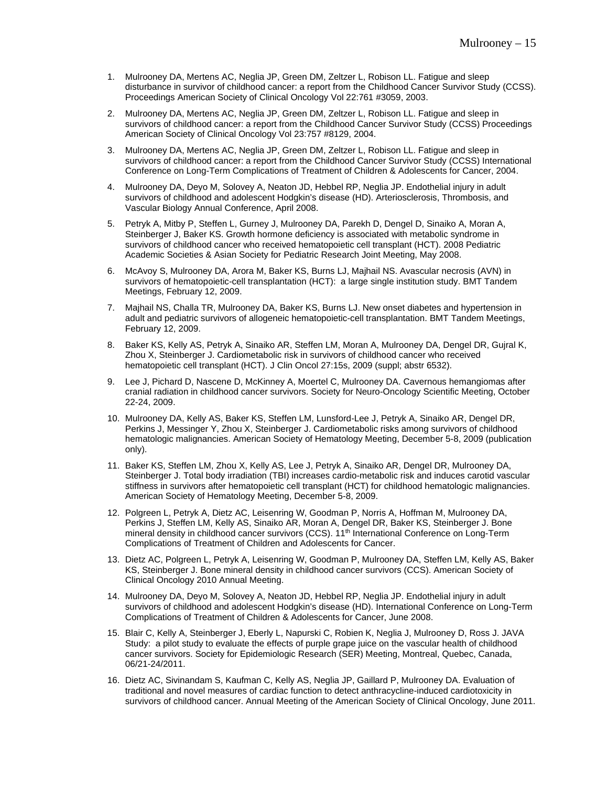- 1. Mulrooney DA, Mertens AC, Neglia JP, Green DM, Zeltzer L, Robison LL. Fatigue and sleep disturbance in survivor of childhood cancer: a report from the Childhood Cancer Survivor Study (CCSS). Proceedings American Society of Clinical Oncology Vol 22:761 #3059, 2003.
- 2. Mulrooney DA, Mertens AC, Neglia JP, Green DM, Zeltzer L, Robison LL. Fatigue and sleep in survivors of childhood cancer: a report from the Childhood Cancer Survivor Study (CCSS) Proceedings American Society of Clinical Oncology Vol 23:757 #8129, 2004.
- 3. Mulrooney DA, Mertens AC, Neglia JP, Green DM, Zeltzer L, Robison LL. Fatigue and sleep in survivors of childhood cancer: a report from the Childhood Cancer Survivor Study (CCSS) International Conference on Long-Term Complications of Treatment of Children & Adolescents for Cancer, 2004.
- 4. Mulrooney DA, Deyo M, Solovey A, Neaton JD, Hebbel RP, Neglia JP. Endothelial injury in adult survivors of childhood and adolescent Hodgkin's disease (HD). Arteriosclerosis, Thrombosis, and Vascular Biology Annual Conference, April 2008.
- 5. Petryk A, Mitby P, Steffen L, Gurney J, Mulrooney DA, Parekh D, Dengel D, Sinaiko A, Moran A, Steinberger J, Baker KS. Growth hormone deficiency is associated with metabolic syndrome in survivors of childhood cancer who received hematopoietic cell transplant (HCT). 2008 Pediatric Academic Societies & Asian Society for Pediatric Research Joint Meeting, May 2008.
- 6. McAvoy S, Mulrooney DA, Arora M, Baker KS, Burns LJ, Majhail NS. Avascular necrosis (AVN) in survivors of hematopoietic-cell transplantation (HCT): a large single institution study. BMT Tandem Meetings, February 12, 2009.
- 7. Majhail NS, Challa TR, Mulrooney DA, Baker KS, Burns LJ. New onset diabetes and hypertension in adult and pediatric survivors of allogeneic hematopoietic-cell transplantation. BMT Tandem Meetings, February 12, 2009.
- 8. Baker KS, Kelly AS, Petryk A, Sinaiko AR, Steffen LM, Moran A, Mulrooney DA, Dengel DR, Gujral K, Zhou X, Steinberger J. Cardiometabolic risk in survivors of childhood cancer who received hematopoietic cell transplant (HCT). J Clin Oncol 27:15s, 2009 (suppl; abstr 6532).
- 9. Lee J, Pichard D, Nascene D, McKinney A, Moertel C, Mulrooney DA. Cavernous hemangiomas after cranial radiation in childhood cancer survivors. Society for Neuro-Oncology Scientific Meeting, October 22-24, 2009.
- 10. Mulrooney DA, Kelly AS, Baker KS, Steffen LM, Lunsford-Lee J, Petryk A, Sinaiko AR, Dengel DR, Perkins J, Messinger Y, Zhou X, Steinberger J. Cardiometabolic risks among survivors of childhood hematologic malignancies. American Society of Hematology Meeting, December 5-8, 2009 (publication only).
- 11. Baker KS, Steffen LM, Zhou X, Kelly AS, Lee J, Petryk A, Sinaiko AR, Dengel DR, Mulrooney DA, Steinberger J. Total body irradiation (TBI) increases cardio-metabolic risk and induces carotid vascular stiffness in survivors after hematopoietic cell transplant (HCT) for childhood hematologic malignancies. American Society of Hematology Meeting, December 5-8, 2009.
- 12. Polgreen L, Petryk A, Dietz AC, Leisenring W, Goodman P, Norris A, Hoffman M, Mulrooney DA, Perkins J, Steffen LM, Kelly AS, Sinaiko AR, Moran A, Dengel DR, Baker KS, Steinberger J. Bone mineral density in childhood cancer survivors (CCS). 11<sup>th</sup> International Conference on Long-Term Complications of Treatment of Children and Adolescents for Cancer.
- 13. Dietz AC, Polgreen L, Petryk A, Leisenring W, Goodman P, Mulrooney DA, Steffen LM, Kelly AS, Baker KS, Steinberger J. Bone mineral density in childhood cancer survivors (CCS). American Society of Clinical Oncology 2010 Annual Meeting.
- 14. Mulrooney DA, Deyo M, Solovey A, Neaton JD, Hebbel RP, Neglia JP. Endothelial injury in adult survivors of childhood and adolescent Hodgkin's disease (HD). International Conference on Long-Term Complications of Treatment of Children & Adolescents for Cancer, June 2008.
- 15. Blair C, Kelly A, Steinberger J, Eberly L, Napurski C, Robien K, Neglia J, Mulrooney D, Ross J. JAVA Study: a pilot study to evaluate the effects of purple grape juice on the vascular health of childhood cancer survivors. Society for Epidemiologic Research (SER) Meeting, Montreal, Quebec, Canada, 06/21-24/2011.
- 16. Dietz AC, Sivinandam S, Kaufman C, Kelly AS, Neglia JP, Gaillard P, Mulrooney DA. Evaluation of traditional and novel measures of cardiac function to detect anthracycline-induced cardiotoxicity in survivors of childhood cancer. Annual Meeting of the American Society of Clinical Oncology, June 2011.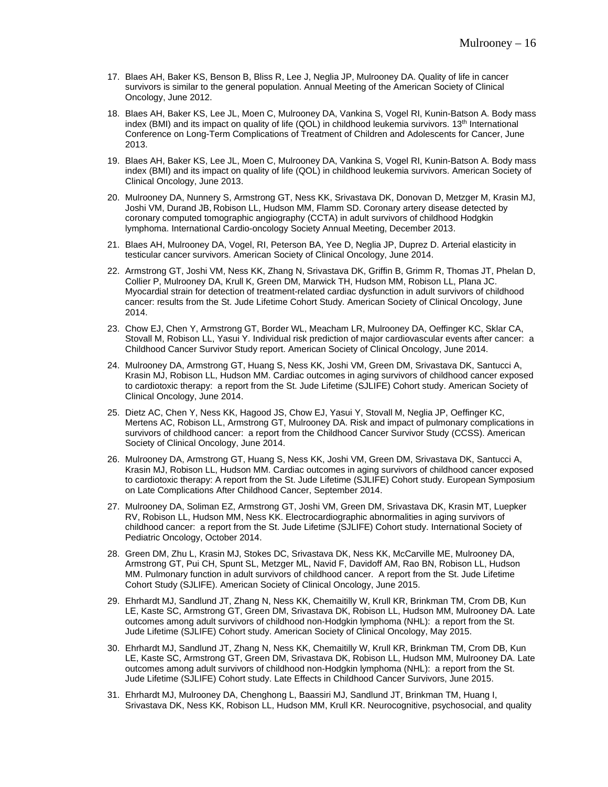- 17. Blaes AH, Baker KS, Benson B, Bliss R, Lee J, Neglia JP, Mulrooney DA. Quality of life in cancer survivors is similar to the general population. Annual Meeting of the American Society of Clinical Oncology, June 2012.
- 18. Blaes AH, Baker KS, Lee JL, Moen C, Mulrooney DA, Vankina S, Vogel RI, Kunin-Batson A. Body mass index (BMI) and its impact on quality of life (QOL) in childhood leukemia survivors. 13<sup>th</sup> International Conference on Long-Term Complications of Treatment of Children and Adolescents for Cancer, June 2013.
- 19. Blaes AH, Baker KS, Lee JL, Moen C, Mulrooney DA, Vankina S, Vogel RI, Kunin-Batson A. Body mass index (BMI) and its impact on quality of life (QOL) in childhood leukemia survivors. American Society of Clinical Oncology, June 2013.
- 20. Mulrooney DA, Nunnery S, Armstrong GT, Ness KK, Srivastava DK, Donovan D, Metzger M, Krasin MJ, Joshi VM, Durand JB, Robison LL, Hudson MM, Flamm SD. Coronary artery disease detected by coronary computed tomographic angiography (CCTA) in adult survivors of childhood Hodgkin lymphoma. International Cardio-oncology Society Annual Meeting, December 2013.
- 21. Blaes AH, Mulrooney DA, Vogel, RI, Peterson BA, Yee D, Neglia JP, Duprez D. Arterial elasticity in testicular cancer survivors. American Society of Clinical Oncology, June 2014.
- 22. Armstrong GT, Joshi VM, Ness KK, Zhang N, Srivastava DK, Griffin B, Grimm R, Thomas JT, Phelan D, Collier P, Mulrooney DA, Krull K, Green DM, Marwick TH, Hudson MM, Robison LL, Plana JC. Myocardial strain for detection of treatment-related cardiac dysfunction in adult survivors of childhood cancer: results from the St. Jude Lifetime Cohort Study. American Society of Clinical Oncology, June 2014.
- 23. Chow EJ, Chen Y, Armstrong GT, Border WL, Meacham LR, Mulrooney DA, Oeffinger KC, Sklar CA, Stovall M, Robison LL, Yasui Y. Individual risk prediction of major cardiovascular events after cancer: a Childhood Cancer Survivor Study report. American Society of Clinical Oncology, June 2014.
- 24. Mulrooney DA, Armstrong GT, Huang S, Ness KK, Joshi VM, Green DM, Srivastava DK, Santucci A, Krasin MJ, Robison LL, Hudson MM. Cardiac outcomes in aging survivors of childhood cancer exposed to cardiotoxic therapy: a report from the St. Jude Lifetime (SJLIFE) Cohort study. American Society of Clinical Oncology, June 2014.
- 25. Dietz AC, Chen Y, Ness KK, Hagood JS, Chow EJ, Yasui Y, Stovall M, Neglia JP, Oeffinger KC, Mertens AC, Robison LL, Armstrong GT, Mulrooney DA. Risk and impact of pulmonary complications in survivors of childhood cancer: a report from the Childhood Cancer Survivor Study (CCSS). American Society of Clinical Oncology, June 2014.
- 26. Mulrooney DA, Armstrong GT, Huang S, Ness KK, Joshi VM, Green DM, Srivastava DK, Santucci A, Krasin MJ, Robison LL, Hudson MM. Cardiac outcomes in aging survivors of childhood cancer exposed to cardiotoxic therapy: A report from the St. Jude Lifetime (SJLIFE) Cohort study. European Symposium on Late Complications After Childhood Cancer, September 2014.
- 27. Mulrooney DA, Soliman EZ, Armstrong GT, Joshi VM, Green DM, Srivastava DK, Krasin MT, Luepker RV, Robison LL, Hudson MM, Ness KK. Electrocardiographic abnormalities in aging survivors of childhood cancer: a report from the St. Jude Lifetime (SJLIFE) Cohort study. International Society of Pediatric Oncology, October 2014.
- 28. Green DM, Zhu L, Krasin MJ, Stokes DC, Srivastava DK, Ness KK, McCarville ME, Mulrooney DA, Armstrong GT, Pui CH, Spunt SL, Metzger ML, Navid F, Davidoff AM, Rao BN, Robison LL, Hudson MM. Pulmonary function in adult survivors of childhood cancer. A report from the St. Jude Lifetime Cohort Study (SJLIFE). American Society of Clinical Oncology, June 2015.
- 29. Ehrhardt MJ, Sandlund JT, Zhang N, Ness KK, Chemaitilly W, Krull KR, Brinkman TM, Crom DB, Kun LE, Kaste SC, Armstrong GT, Green DM, Srivastava DK, Robison LL, Hudson MM, Mulrooney DA. Late outcomes among adult survivors of childhood non-Hodgkin lymphoma (NHL): a report from the St. Jude Lifetime (SJLIFE) Cohort study. American Society of Clinical Oncology, May 2015.
- 30. Ehrhardt MJ, Sandlund JT, Zhang N, Ness KK, Chemaitilly W, Krull KR, Brinkman TM, Crom DB, Kun LE, Kaste SC, Armstrong GT, Green DM, Srivastava DK, Robison LL, Hudson MM, Mulrooney DA. Late outcomes among adult survivors of childhood non-Hodgkin lymphoma (NHL): a report from the St. Jude Lifetime (SJLIFE) Cohort study. Late Effects in Childhood Cancer Survivors, June 2015.
- 31. Ehrhardt MJ, Mulrooney DA, Chenghong L, Baassiri MJ, Sandlund JT, Brinkman TM, Huang I, Srivastava DK, Ness KK, Robison LL, Hudson MM, Krull KR. Neurocognitive, psychosocial, and quality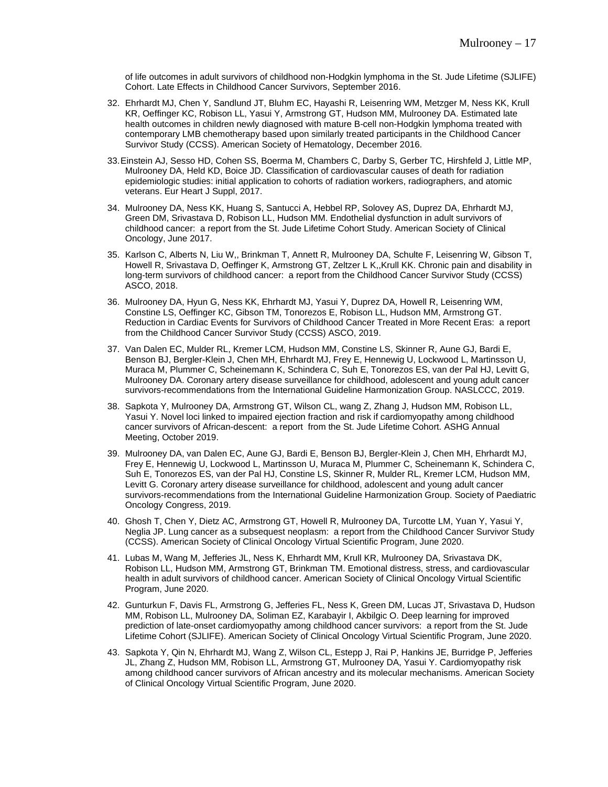of life outcomes in adult survivors of childhood non-Hodgkin lymphoma in the St. Jude Lifetime (SJLIFE) Cohort. Late Effects in Childhood Cancer Survivors, September 2016.

- 32. Ehrhardt MJ, Chen Y, Sandlund JT, Bluhm EC, Hayashi R, Leisenring WM, Metzger M, Ness KK, Krull KR, Oeffinger KC, Robison LL, Yasui Y, Armstrong GT, Hudson MM, Mulrooney DA. Estimated late health outcomes in children newly diagnosed with mature B-cell non-Hodgkin lymphoma treated with contemporary LMB chemotherapy based upon similarly treated participants in the Childhood Cancer Survivor Study (CCSS). American Society of Hematology, December 2016.
- 33.Einstein AJ, Sesso HD, Cohen SS, Boerma M, Chambers C, Darby S, Gerber TC, Hirshfeld J, Little MP, Mulrooney DA, Held KD, Boice JD. Classification of cardiovascular causes of death for radiation epidemiologic studies: initial application to cohorts of radiation workers, radiographers, and atomic veterans. Eur Heart J Suppl, 2017.
- 34. Mulrooney DA, Ness KK, Huang S, Santucci A, Hebbel RP, Solovey AS, Duprez DA, Ehrhardt MJ, Green DM, Srivastava D, Robison LL, Hudson MM. Endothelial dysfunction in adult survivors of childhood cancer: a report from the St. Jude Lifetime Cohort Study. American Society of Clinical Oncology, June 2017.
- 35. Karlson C, Alberts N, Liu W,, Brinkman T, Annett R, Mulrooney DA, Schulte F, Leisenring W, Gibson T, Howell R, Srivastava D, Oeffinger K, Armstrong GT, Zeltzer L K,,Krull KK. Chronic pain and disability in long-term survivors of childhood cancer: a report from the Childhood Cancer Survivor Study (CCSS) ASCO, 2018.
- 36. Mulrooney DA, Hyun G, Ness KK, Ehrhardt MJ, Yasui Y, Duprez DA, Howell R, Leisenring WM, Constine LS, Oeffinger KC, Gibson TM, Tonorezos E, Robison LL, Hudson MM, Armstrong GT. Reduction in Cardiac Events for Survivors of Childhood Cancer Treated in More Recent Eras: a report from the Childhood Cancer Survivor Study (CCSS) ASCO, 2019.
- 37. Van Dalen EC, Mulder RL, Kremer LCM, Hudson MM, Constine LS, Skinner R, Aune GJ, Bardi E, Benson BJ, Bergler-Klein J, Chen MH, Ehrhardt MJ, Frey E, Hennewig U, Lockwood L, Martinsson U, Muraca M, Plummer C, Scheinemann K, Schindera C, Suh E, Tonorezos ES, van der Pal HJ, Levitt G, Mulrooney DA. Coronary artery disease surveillance for childhood, adolescent and young adult cancer survivors-recommendations from the International Guideline Harmonization Group. NASLCCC, 2019.
- 38. Sapkota Y, Mulrooney DA, Armstrong GT, Wilson CL, wang Z, Zhang J, Hudson MM, Robison LL, Yasui Y. Novel loci linked to impaired ejection fraction and risk if cardiomyopathy among childhood cancer survivors of African-descent: a report from the St. Jude Lifetime Cohort. ASHG Annual Meeting, October 2019.
- 39. Mulrooney DA, van Dalen EC, Aune GJ, Bardi E, Benson BJ, Bergler-Klein J, Chen MH, Ehrhardt MJ, Frey E, Hennewig U, Lockwood L, Martinsson U, Muraca M, Plummer C, Scheinemann K, Schindera C, Suh E, Tonorezos ES, van der Pal HJ, Constine LS, Skinner R, Mulder RL, Kremer LCM, Hudson MM, Levitt G. Coronary artery disease surveillance for childhood, adolescent and young adult cancer survivors-recommendations from the International Guideline Harmonization Group. Society of Paediatric Oncology Congress, 2019.
- 40. Ghosh T, Chen Y, Dietz AC, Armstrong GT, Howell R, Mulrooney DA, Turcotte LM, Yuan Y, Yasui Y, Neglia JP. Lung cancer as a subsequest neoplasm: a report from the Childhood Cancer Survivor Study (CCSS). American Society of Clinical Oncology Virtual Scientific Program, June 2020.
- 41. Lubas M, Wang M, Jefferies JL, Ness K, Ehrhardt MM, Krull KR, Mulrooney DA, Srivastava DK, Robison LL, Hudson MM, Armstrong GT, Brinkman TM. Emotional distress, stress, and cardiovascular health in adult survivors of childhood cancer. American Society of Clinical Oncology Virtual Scientific Program, June 2020.
- 42. Gunturkun F, Davis FL, Armstrong G, Jefferies FL, Ness K, Green DM, Lucas JT, Srivastava D, Hudson MM, Robison LL, Mulrooney DA, Soliman EZ, Karabayir I, Akbilgic O. Deep learning for improved prediction of late-onset cardiomyopathy among childhood cancer survivors: a report from the St. Jude Lifetime Cohort (SJLIFE). American Society of Clinical Oncology Virtual Scientific Program, June 2020.
- 43. Sapkota Y, Qin N, Ehrhardt MJ, Wang Z, Wilson CL, Estepp J, Rai P, Hankins JE, Burridge P, Jefferies JL, Zhang Z, Hudson MM, Robison LL, Armstrong GT, Mulrooney DA, Yasui Y. Cardiomyopathy risk among childhood cancer survivors of African ancestry and its molecular mechanisms. American Society of Clinical Oncology Virtual Scientific Program, June 2020.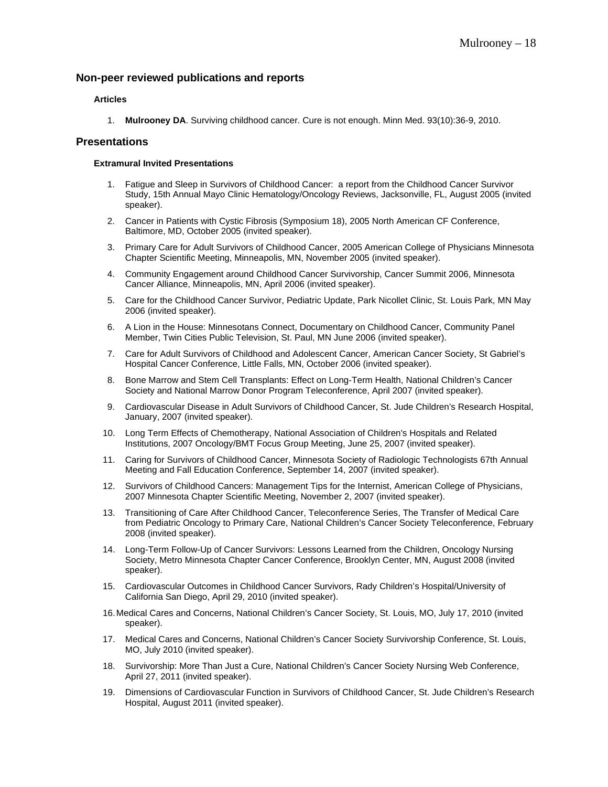## **Non-peer reviewed publications and reports**

### **Articles**

1. **Mulrooney DA**. Surviving childhood cancer. Cure is not enough. Minn Med. 93(10):36-9, 2010.

## **Presentations**

### **Extramural Invited Presentations**

- 1. Fatigue and Sleep in Survivors of Childhood Cancer: a report from the Childhood Cancer Survivor Study, 15th Annual Mayo Clinic Hematology/Oncology Reviews, Jacksonville, FL, August 2005 (invited speaker).
- 2. Cancer in Patients with Cystic Fibrosis (Symposium 18), 2005 North American CF Conference, Baltimore, MD, October 2005 (invited speaker).
- 3. Primary Care for Adult Survivors of Childhood Cancer, 2005 American College of Physicians Minnesota Chapter Scientific Meeting, Minneapolis, MN, November 2005 (invited speaker).
- 4. Community Engagement around Childhood Cancer Survivorship, Cancer Summit 2006, Minnesota Cancer Alliance, Minneapolis, MN, April 2006 (invited speaker).
- 5. Care for the Childhood Cancer Survivor, Pediatric Update, Park Nicollet Clinic, St. Louis Park, MN May 2006 (invited speaker).
- 6. A Lion in the House: Minnesotans Connect, Documentary on Childhood Cancer, Community Panel Member, Twin Cities Public Television, St. Paul, MN June 2006 (invited speaker).
- 7. Care for Adult Survivors of Childhood and Adolescent Cancer, American Cancer Society, St Gabriel's Hospital Cancer Conference, Little Falls, MN, October 2006 (invited speaker).
- 8. Bone Marrow and Stem Cell Transplants: Effect on Long-Term Health, National Children's Cancer Society and National Marrow Donor Program Teleconference, April 2007 (invited speaker).
- 9. Cardiovascular Disease in Adult Survivors of Childhood Cancer, St. Jude Children's Research Hospital, January, 2007 (invited speaker).
- 10. Long Term Effects of Chemotherapy, National Association of Children's Hospitals and Related Institutions, 2007 Oncology/BMT Focus Group Meeting, June 25, 2007 (invited speaker).
- 11. Caring for Survivors of Childhood Cancer, Minnesota Society of Radiologic Technologists 67th Annual Meeting and Fall Education Conference, September 14, 2007 (invited speaker).
- 12. Survivors of Childhood Cancers: Management Tips for the Internist, American College of Physicians, 2007 Minnesota Chapter Scientific Meeting, November 2, 2007 (invited speaker).
- 13. Transitioning of Care After Childhood Cancer, Teleconference Series, The Transfer of Medical Care from Pediatric Oncology to Primary Care, National Children's Cancer Society Teleconference, February 2008 (invited speaker).
- 14. Long-Term Follow-Up of Cancer Survivors: Lessons Learned from the Children, Oncology Nursing Society, Metro Minnesota Chapter Cancer Conference, Brooklyn Center, MN, August 2008 (invited speaker).
- 15. Cardiovascular Outcomes in Childhood Cancer Survivors, Rady Children's Hospital/University of California San Diego, April 29, 2010 (invited speaker).
- 16.Medical Cares and Concerns, National Children's Cancer Society, St. Louis, MO, July 17, 2010 (invited speaker).
- 17. Medical Cares and Concerns, National Children's Cancer Society Survivorship Conference, St. Louis, MO, July 2010 (invited speaker).
- 18. Survivorship: More Than Just a Cure, National Children's Cancer Society Nursing Web Conference, April 27, 2011 (invited speaker).
- 19. Dimensions of Cardiovascular Function in Survivors of Childhood Cancer, St. Jude Children's Research Hospital, August 2011 (invited speaker).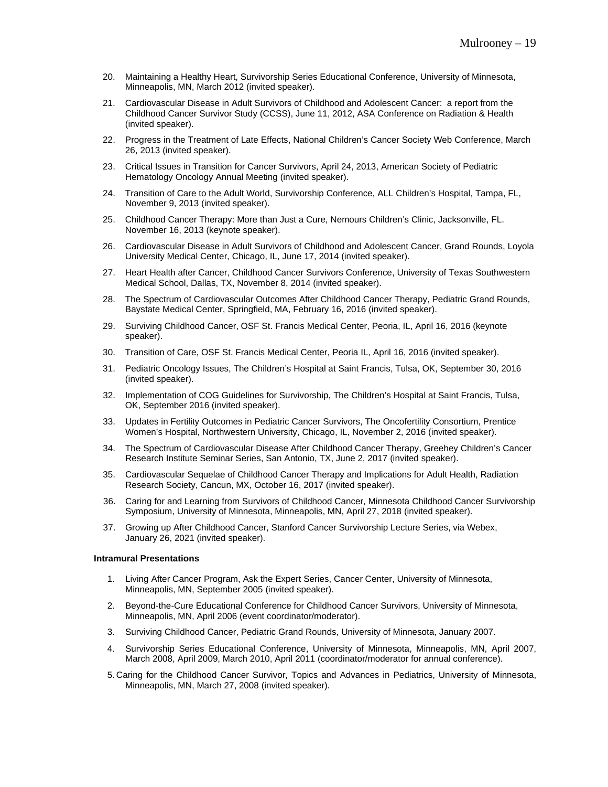- 20. Maintaining a Healthy Heart, Survivorship Series Educational Conference, University of Minnesota, Minneapolis, MN, March 2012 (invited speaker).
- 21. Cardiovascular Disease in Adult Survivors of Childhood and Adolescent Cancer: a report from the Childhood Cancer Survivor Study (CCSS), June 11, 2012, ASA Conference on Radiation & Health (invited speaker).
- 22. Progress in the Treatment of Late Effects, National Children's Cancer Society Web Conference, March 26, 2013 (invited speaker).
- 23. Critical Issues in Transition for Cancer Survivors, April 24, 2013, American Society of Pediatric Hematology Oncology Annual Meeting (invited speaker).
- 24. Transition of Care to the Adult World, Survivorship Conference, ALL Children's Hospital, Tampa, FL, November 9, 2013 (invited speaker).
- 25. Childhood Cancer Therapy: More than Just a Cure, Nemours Children's Clinic, Jacksonville, FL. November 16, 2013 (keynote speaker).
- 26. Cardiovascular Disease in Adult Survivors of Childhood and Adolescent Cancer, Grand Rounds, Loyola University Medical Center, Chicago, IL, June 17, 2014 (invited speaker).
- 27. Heart Health after Cancer, Childhood Cancer Survivors Conference, University of Texas Southwestern Medical School, Dallas, TX, November 8, 2014 (invited speaker).
- 28. The Spectrum of Cardiovascular Outcomes After Childhood Cancer Therapy, Pediatric Grand Rounds, Baystate Medical Center, Springfield, MA, February 16, 2016 (invited speaker).
- 29. Surviving Childhood Cancer, OSF St. Francis Medical Center, Peoria, IL, April 16, 2016 (keynote speaker).
- 30. Transition of Care, OSF St. Francis Medical Center, Peoria IL, April 16, 2016 (invited speaker).
- 31. Pediatric Oncology Issues, The Children's Hospital at Saint Francis, Tulsa, OK, September 30, 2016 (invited speaker).
- 32. Implementation of COG Guidelines for Survivorship, The Children's Hospital at Saint Francis, Tulsa, OK, September 2016 (invited speaker).
- 33. Updates in Fertility Outcomes in Pediatric Cancer Survivors, The Oncofertility Consortium, Prentice Women's Hospital, Northwestern University, Chicago, IL, November 2, 2016 (invited speaker).
- 34. The Spectrum of Cardiovascular Disease After Childhood Cancer Therapy, Greehey Children's Cancer Research Institute Seminar Series, San Antonio, TX, June 2, 2017 (invited speaker).
- 35. Cardiovascular Sequelae of Childhood Cancer Therapy and Implications for Adult Health, Radiation Research Society, Cancun, MX, October 16, 2017 (invited speaker).
- 36. Caring for and Learning from Survivors of Childhood Cancer, Minnesota Childhood Cancer Survivorship Symposium, University of Minnesota, Minneapolis, MN, April 27, 2018 (invited speaker).
- 37. Growing up After Childhood Cancer, Stanford Cancer Survivorship Lecture Series, via Webex, January 26, 2021 (invited speaker).

#### **Intramural Presentations**

- 1. Living After Cancer Program, Ask the Expert Series, Cancer Center, University of Minnesota, Minneapolis, MN, September 2005 (invited speaker).
- 2. Beyond-the-Cure Educational Conference for Childhood Cancer Survivors, University of Minnesota, Minneapolis, MN, April 2006 (event coordinator/moderator).
- 3. Surviving Childhood Cancer, Pediatric Grand Rounds, University of Minnesota, January 2007.
- 4. Survivorship Series Educational Conference, University of Minnesota, Minneapolis, MN, April 2007, March 2008, April 2009, March 2010, April 2011 (coordinator/moderator for annual conference).
- 5. Caring for the Childhood Cancer Survivor, Topics and Advances in Pediatrics, University of Minnesota, Minneapolis, MN, March 27, 2008 (invited speaker).